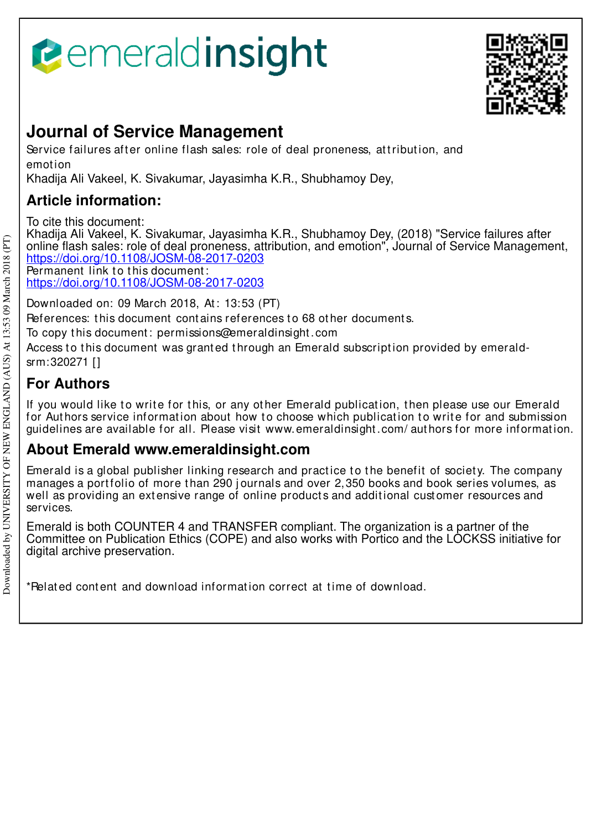# **B**emeraldinsight



## **Journal of Service Management**

Service failures after online flash sales: role of deal proneness, attribution, and emot ion

Khadija Ali Vakeel, K. Sivakumar, Jayasimha K.R., Shubhamoy Dey,

### **Article information:**

To cite this document:

Khadija Ali Vakeel, K. Sivakumar, Jayasimha K.R., Shubhamoy Dey, (2018) "Service failures after online flash sales: role of deal proneness, attribution, and emotion", Journal of Service Management, https://doi.org/10.1108/JOSM-08-2017-0203 Permanent link to this document:

https://doi.org/10.1108/JOSM-08-2017-0203

Downloaded on: 09 March 2018, At : 13:53 (PT)

References: this document contains references to 68 other documents.

To copy t his document : permissions@emeraldinsight .com

Access to this document was granted through an Emerald subscription provided by emeraldsrm:320271 []

## **For Authors**

If you would like to write for this, or any other Emerald publication, then please use our Emerald for Authors service information about how to choose which publication to write for and submission guidelines are available for all. Please visit www.emeraldinsight .com/ aut hors for more informat ion.

### **About Emerald www.emeraldinsight.com**

Emerald is a global publisher linking research and practice to the benefit of society. The company manages a portfolio of more than 290 journals and over 2,350 books and book series volumes, as well as providing an extensive range of online products and additional customer resources and services.

Emerald is both COUNTER 4 and TRANSFER compliant. The organization is a partner of the Committee on Publication Ethics (COPE) and also works with Portico and the LOCKSS initiative for digital archive preservation.

\*Relat ed cont ent and download informat ion correct at t ime of download.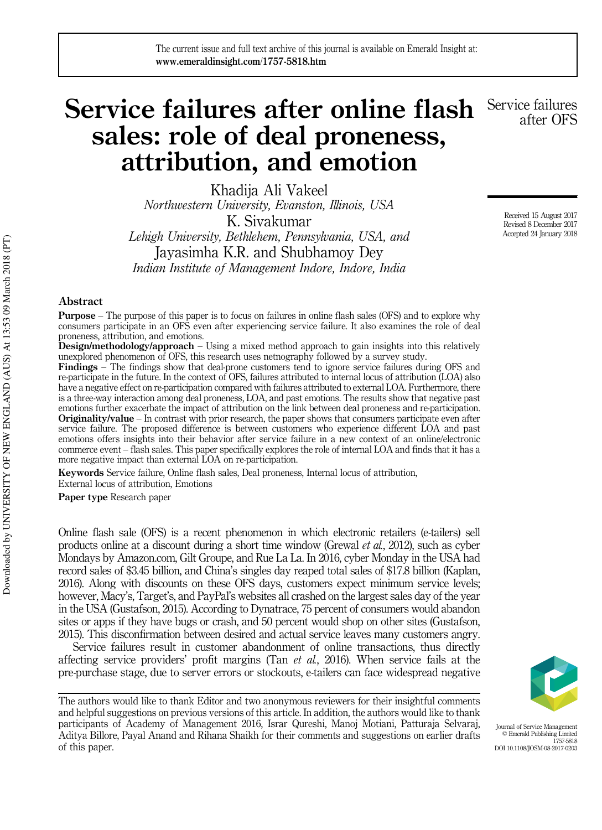## Service failures after online flash sales: role of deal proneness, attribution, and emotion

Khadija Ali Vakeel *Northwestern University, Evanston, Illinois, USA* K. Sivakumar *Lehigh University, Bethlehem, Pennsylvania, USA, and* Jayasimha K.R. and Shubhamoy Dey *Indian Institute of Management Indore, Indore, India*

Abstract

Purpose – The purpose of this paper is to focus on failures in online flash sales (OFS) and to explore why consumers participate in an OFS even after experiencing service failure. It also examines the role of deal proneness, attribution, and emotions.

Design/methodology/approach – Using a mixed method approach to gain insights into this relatively unexplored phenomenon of OFS, this research uses netnography followed by a survey study.

Findings – The findings show that deal-prone customers tend to ignore service failures during OFS and re-participate in the future. In the context of OFS, failures attributed to internal locus of attribution (LOA) also have a negative effect on re-participation compared with failures attributed to external LOA. Furthermore, there is a three-way interaction among deal proneness, LOA, and past emotions. The results show that negative past emotions further exacerbate the impact of attribution on the link between deal proneness and re-participation. Originality/value – In contrast with prior research, the paper shows that consumers participate even after service failure. The proposed difference is between customers who experience different LOA and past emotions offers insights into their behavior after service failure in a new context of an online/electronic commerce event – flash sales. This paper specifically explores the role of internal LOA and finds that it has a more negative impact than external LOA on re-participation.

Keywords Service failure, Online flash sales, Deal proneness, Internal locus of attribution,

External locus of attribution, Emotions

Paper type Research paper

Online flash sale (OFS) is a recent phenomenon in which electronic retailers (e-tailers) sell products online at a discount during a short time window (Grewal *et al.*, 2012), such as cyber Mondays by Amazon.com, Gilt Groupe, and Rue La La. In 2016, cyber Monday in the USA had record sales of \$3.45 billion, and China's singles day reaped total sales of \$17.8 billion (Kaplan, 2016). Along with discounts on these OFS days, customers expect minimum service levels; however, Macy's, Target's, and PayPal's websites all crashed on the largest sales day of the year in the USA (Gustafson, 2015). According to Dynatrace, 75 percent of consumers would abandon sites or apps if they have bugs or crash, and 50 percent would shop on other sites (Gustafson, 2015). This disconfirmation between desired and actual service leaves many customers angry.

Service failures result in customer abandonment of online transactions, thus directly affecting service providers' profit margins (Tan *et al.*, 2016). When service fails at the pre-purchase stage, due to server errors or stockouts, e-tailers can face widespread negative

Service failures after OFS

> Received 15 August 2017 Revised 8 December 2017 Accepted 24 January 2018

The authors would like to thank Editor and two anonymous reviewers for their insightful comments and helpful suggestions on previous versions of this article. In addition, the authors would like to thank participants of Academy of Management 2016, Israr Qureshi, Manoj Motiani, Patturaja Selvaraj, Aditya Billore, Payal Anand and Rihana Shaikh for their comments and suggestions on earlier drafts of this paper.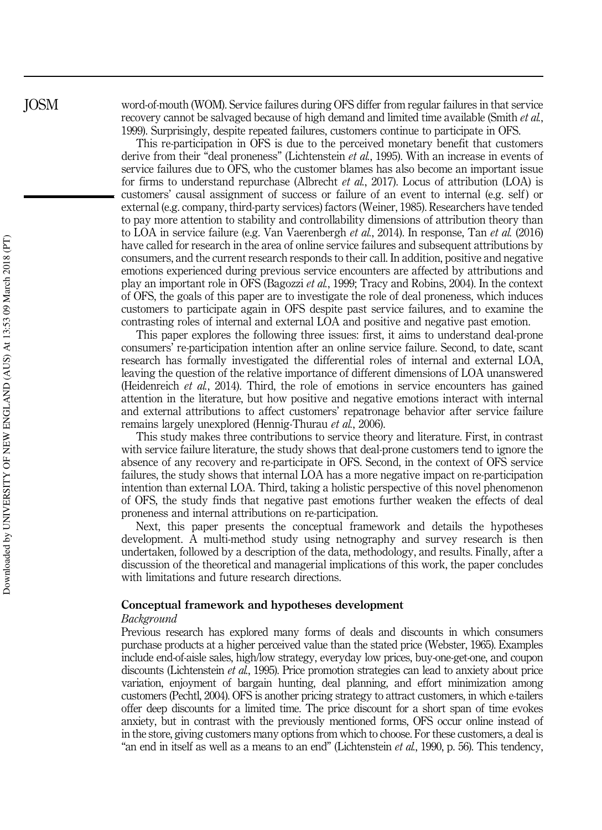word-of-mouth (WOM). Service failures during OFS differ from regular failures in that service recovery cannot be salvaged because of high demand and limited time available (Smith *et al.*, 1999). Surprisingly, despite repeated failures, customers continue to participate in OFS.

This re-participation in OFS is due to the perceived monetary benefit that customers derive from their "deal proneness" (Lichtenstein *et al.*, 1995). With an increase in events of service failures due to OFS, who the customer blames has also become an important issue for firms to understand repurchase (Albrecht *et al.*, 2017). Locus of attribution (LOA) is customers' causal assignment of success or failure of an event to internal (e.g. self) or external (e.g. company, third-party services) factors (Weiner, 1985). Researchers have tended to pay more attention to stability and controllability dimensions of attribution theory than to LOA in service failure (e.g. Van Vaerenbergh *et al.*, 2014). In response, Tan *et al.* (2016) have called for research in the area of online service failures and subsequent attributions by consumers, and the current research responds to their call. In addition, positive and negative emotions experienced during previous service encounters are affected by attributions and play an important role in OFS (Bagozzi *et al.*, 1999; Tracy and Robins, 2004). In the context of OFS, the goals of this paper are to investigate the role of deal proneness, which induces customers to participate again in OFS despite past service failures, and to examine the contrasting roles of internal and external LOA and positive and negative past emotion.

This paper explores the following three issues: first, it aims to understand deal-prone consumers' re-participation intention after an online service failure. Second, to date, scant research has formally investigated the differential roles of internal and external LOA, leaving the question of the relative importance of different dimensions of LOA unanswered (Heidenreich *et al.*, 2014). Third, the role of emotions in service encounters has gained attention in the literature, but how positive and negative emotions interact with internal and external attributions to affect customers' repatronage behavior after service failure remains largely unexplored (Hennig-Thurau *et al.*, 2006).

This study makes three contributions to service theory and literature. First, in contrast with service failure literature, the study shows that deal-prone customers tend to ignore the absence of any recovery and re-participate in OFS. Second, in the context of OFS service failures, the study shows that internal LOA has a more negative impact on re-participation intention than external LOA. Third, taking a holistic perspective of this novel phenomenon of OFS, the study finds that negative past emotions further weaken the effects of deal proneness and internal attributions on re-participation.

Next, this paper presents the conceptual framework and details the hypotheses development. A multi-method study using netnography and survey research is then undertaken, followed by a description of the data, methodology, and results. Finally, after a discussion of the theoretical and managerial implications of this work, the paper concludes with limitations and future research directions.

### Conceptual framework and hypotheses development

### *Background*

Previous research has explored many forms of deals and discounts in which consumers purchase products at a higher perceived value than the stated price (Webster, 1965). Examples include end-of-aisle sales, high/low strategy, everyday low prices, buy-one-get-one, and coupon discounts (Lichtenstein *et al.*, 1995). Price promotion strategies can lead to anxiety about price variation, enjoyment of bargain hunting, deal planning, and effort minimization among customers (Pechtl, 2004). OFS is another pricing strategy to attract customers, in which e-tailers offer deep discounts for a limited time. The price discount for a short span of time evokes anxiety, but in contrast with the previously mentioned forms, OFS occur online instead of in the store, giving customers many options from which to choose. For these customers, a deal is "an end in itself as well as a means to an end" (Lichtenstein *et al.*, 1990, p. 56). This tendency,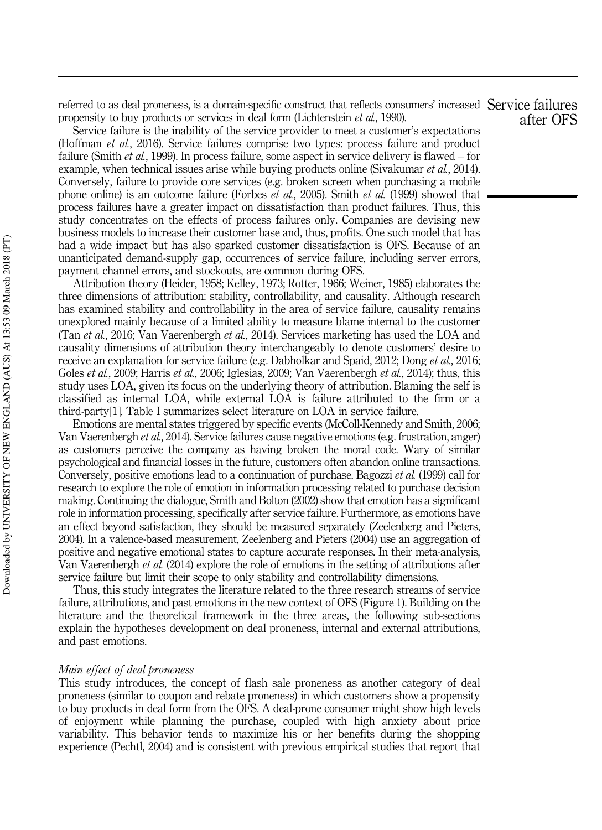referred to as deal proneness, is a domain-specific construct that reflects consumers' increased Service failures propensity to buy products or services in deal form (Lichtenstein *et al.*, 1990). after OFS

Service failure is the inability of the service provider to meet a customer's expectations (Hoffman *et al.*, 2016). Service failures comprise two types: process failure and product failure (Smith *et al.*, 1999). In process failure, some aspect in service delivery is flawed – for example, when technical issues arise while buying products online (Sivakumar *et al.*, 2014). Conversely, failure to provide core services (e.g. broken screen when purchasing a mobile phone online) is an outcome failure (Forbes *et al.*, 2005). Smith *et al.* (1999) showed that process failures have a greater impact on dissatisfaction than product failures. Thus, this study concentrates on the effects of process failures only. Companies are devising new business models to increase their customer base and, thus, profits. One such model that has had a wide impact but has also sparked customer dissatisfaction is OFS. Because of an unanticipated demand-supply gap, occurrences of service failure, including server errors, payment channel errors, and stockouts, are common during OFS.

Attribution theory (Heider, 1958; Kelley, 1973; Rotter, 1966; Weiner, 1985) elaborates the three dimensions of attribution: stability, controllability, and causality. Although research has examined stability and controllability in the area of service failure, causality remains unexplored mainly because of a limited ability to measure blame internal to the customer (Tan *et al.*, 2016; Van Vaerenbergh *et al.*, 2014). Services marketing has used the LOA and causality dimensions of attribution theory interchangeably to denote customers' desire to receive an explanation for service failure (e.g. Dabholkar and Spaid, 2012; Dong *et al.*, 2016; Goles *et al.*, 2009; Harris *et al.*, 2006; Iglesias, 2009; Van Vaerenbergh *et al.*, 2014); thus, this study uses LOA, given its focus on the underlying theory of attribution. Blaming the self is classified as internal LOA, while external LOA is failure attributed to the firm or a third-party[1]. Table I summarizes select literature on LOA in service failure.

Emotions are mental states triggered by specific events (McColl-Kennedy and Smith, 2006; Van Vaerenbergh *et al.*, 2014). Service failures cause negative emotions (e.g. frustration, anger) as customers perceive the company as having broken the moral code. Wary of similar psychological and financial losses in the future, customers often abandon online transactions. Conversely, positive emotions lead to a continuation of purchase. Bagozzi *et al.* (1999) call for research to explore the role of emotion in information processing related to purchase decision making. Continuing the dialogue, Smith and Bolton (2002) show that emotion has a significant role in information processing, specifically after service failure. Furthermore, as emotions have an effect beyond satisfaction, they should be measured separately (Zeelenberg and Pieters, 2004). In a valence-based measurement, Zeelenberg and Pieters (2004) use an aggregation of positive and negative emotional states to capture accurate responses. In their meta-analysis, Van Vaerenbergh *et al.* (2014) explore the role of emotions in the setting of attributions after service failure but limit their scope to only stability and controllability dimensions.

Thus, this study integrates the literature related to the three research streams of service failure, attributions, and past emotions in the new context of OFS (Figure 1). Building on the literature and the theoretical framework in the three areas, the following sub-sections explain the hypotheses development on deal proneness, internal and external attributions, and past emotions.

### *Main effect of deal proneness*

This study introduces, the concept of flash sale proneness as another category of deal proneness (similar to coupon and rebate proneness) in which customers show a propensity to buy products in deal form from the OFS. A deal-prone consumer might show high levels of enjoyment while planning the purchase, coupled with high anxiety about price variability. This behavior tends to maximize his or her benefits during the shopping experience (Pechtl, 2004) and is consistent with previous empirical studies that report that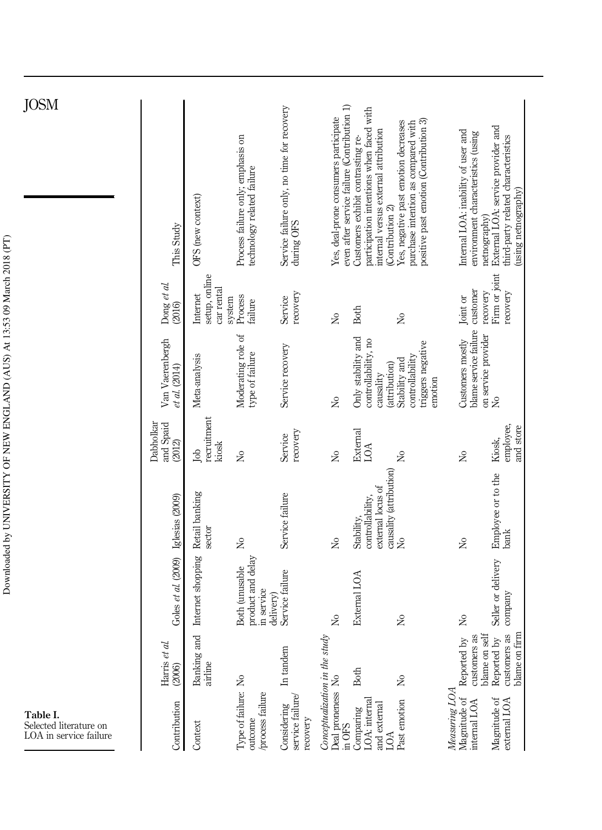| <b>JOSM</b>                                                  |                                  |                                         |                                                                 |                                                          |                                                                                      |                                                                                                                                           |                                                                                                                       |                                                                           |                                                                                                                  |
|--------------------------------------------------------------|----------------------------------|-----------------------------------------|-----------------------------------------------------------------|----------------------------------------------------------|--------------------------------------------------------------------------------------|-------------------------------------------------------------------------------------------------------------------------------------------|-----------------------------------------------------------------------------------------------------------------------|---------------------------------------------------------------------------|------------------------------------------------------------------------------------------------------------------|
|                                                              | This Study                       | OFS (new context)                       | Process failure only; emphasis on<br>technology related failure | Service failure only, no time for recovery<br>during OFS | even after service failure (Contribution 1)<br>Yes, deal-prone consumers participate | participation intentions when faced with<br>internal versus external attribution<br>Customers exhibit contrasting re-<br>(Contribution 2) | positive past emotion (Contribution 3)<br>Yes, negative past emotion decreases<br>purchase intention as compared with | Internal LOA: inability of user and<br>environment characteristics (using | External LOA: service provider and<br>third-party related characteristics<br>(using netnography)<br>netnography) |
|                                                              | Dong et al.<br>(2016)            | setup, online<br>car rental<br>Internet | Process<br>system<br>failure                                    | recovery<br>Service                                      | $\frac{1}{2}$                                                                        | <b>Both</b>                                                                                                                               | $\tilde{z}$                                                                                                           | customer<br>Joint or                                                      | Firm or joint<br>recovery<br>recovery                                                                            |
|                                                              | Van Vaerenbergh<br>et al. (2014) | Meta-analysis                           | Moderating role of<br>type of failure                           | Service recovery                                         | Σò                                                                                   | Only stability and<br>controllability, no<br>causality                                                                                    | triggers negative<br>controllability<br>Stability and<br>(attribution)<br>emotion                                     | blame service failure<br>Customers mostly                                 | on service provider<br>$\frac{1}{2}$                                                                             |
|                                                              | Dabholkar<br>and Spaid<br>(2012) | recruitment<br>kiosk<br>Job             | $\overline{\mathsf{X}}$                                         | recovery<br>Service                                      | $\overline{a}$                                                                       | External<br>LOA                                                                                                                           | $\overline{N}$                                                                                                        | $\overline{a}$                                                            | employee,<br>and store<br>Kiosk,                                                                                 |
|                                                              | Iglesias (2009)                  | Retail banking<br>sector                | $\frac{1}{2}$                                                   | Service failure                                          | $\tilde{z}$                                                                          | external locus of<br>controllability,<br>Stability,                                                                                       | causality (attribution)<br>$\overline{X}$                                                                             | $\tilde{z}$                                                               | Employee or to the<br>bank                                                                                       |
|                                                              | Goles et al. (2009)              | Internet shopping                       | product and delay<br>Both (unusable<br>in service               | Service failure<br>delivery)                             | $\geq$                                                                               | External LOA                                                                                                                              | $\tilde{z}$                                                                                                           | $\mathcal{L}^{\circ}$                                                     | Seller or delivery<br>company                                                                                    |
|                                                              | Harris et al.<br>(2006)          | ರ<br>Banking an<br>airline              |                                                                 | In tandem                                                | $\tilde{z}$                                                                          | <b>Both</b>                                                                                                                               | $\tilde{z}$                                                                                                           | customers as<br>Reported by                                               | customers as<br>blame on firm<br>blame on self<br>Reported by                                                    |
| Table I.<br>Selected literature on<br>LOA in service failure | Contribution                     | Context                                 | Type of failure: No<br>process failure<br>outcome               | service failure/<br>Considering<br>recovery              | Conceptualization in the study<br>Deal proneness<br>in OFS                           | LOA: internal<br>and external<br>Comparing<br>LOA                                                                                         | Past emotion                                                                                                          | Measuring LOA<br>Magnitude of<br>internal LOA                             | Magnitude of<br>external LOA                                                                                     |

Downloaded by UNIVERSITY OF NEW ENGLAND (AUS) At 13:53 09 March 2018 (PT) Downloaded by UNIVERSITY OF NEW ENGLAND (AUS) At 13:53 09 March 2018 (PT)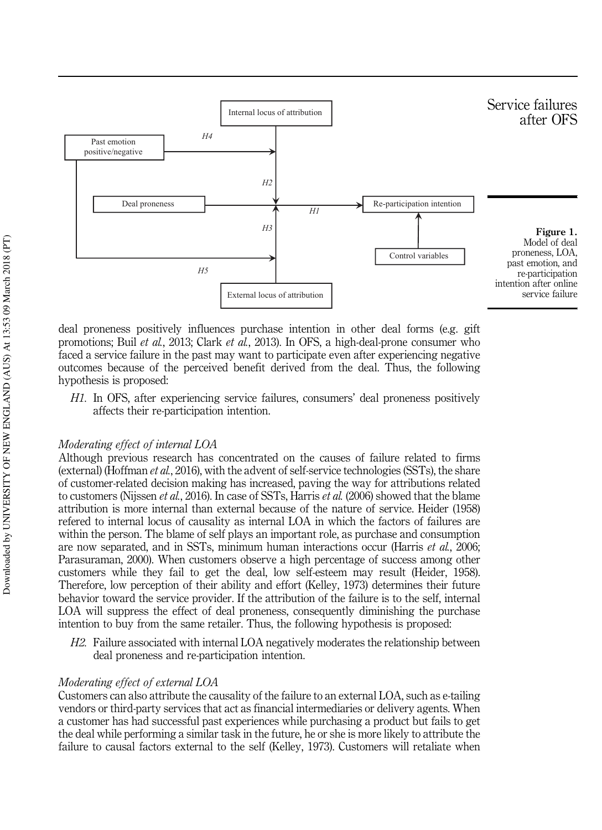

deal proneness positively influences purchase intention in other deal forms (e.g. gift promotions; Buil *et al.*, 2013; Clark *et al.*, 2013). In OFS, a high-deal-prone consumer who faced a service failure in the past may want to participate even after experiencing negative outcomes because of the perceived benefit derived from the deal. Thus, the following hypothesis is proposed:

*H1.* In OFS, after experiencing service failures, consumers' deal proneness positively affects their re-participation intention.

### *Moderating effect of internal LOA*

Although previous research has concentrated on the causes of failure related to firms (external) (Hoffman *et al.*, 2016), with the advent of self-service technologies (SSTs), the share of customer-related decision making has increased, paving the way for attributions related to customers (Nijssen *et al.*, 2016). In case of SSTs, Harris *et al.* (2006) showed that the blame attribution is more internal than external because of the nature of service. Heider (1958) refered to internal locus of causality as internal LOA in which the factors of failures are within the person. The blame of self plays an important role, as purchase and consumption are now separated, and in SSTs, minimum human interactions occur (Harris *et al.*, 2006; Parasuraman, 2000). When customers observe a high percentage of success among other customers while they fail to get the deal, low self-esteem may result (Heider, 1958). Therefore, low perception of their ability and effort (Kelley, 1973) determines their future behavior toward the service provider. If the attribution of the failure is to the self, internal LOA will suppress the effect of deal proneness, consequently diminishing the purchase intention to buy from the same retailer. Thus, the following hypothesis is proposed:

*H2.* Failure associated with internal LOA negatively moderates the relationship between deal proneness and re-participation intention.

### *Moderating effect of external LOA*

Customers can also attribute the causality of the failure to an external LOA, such as e-tailing vendors or third-party services that act as financial intermediaries or delivery agents. When a customer has had successful past experiences while purchasing a product but fails to get the deal while performing a similar task in the future, he or she is more likely to attribute the failure to causal factors external to the self (Kelley, 1973). Customers will retaliate when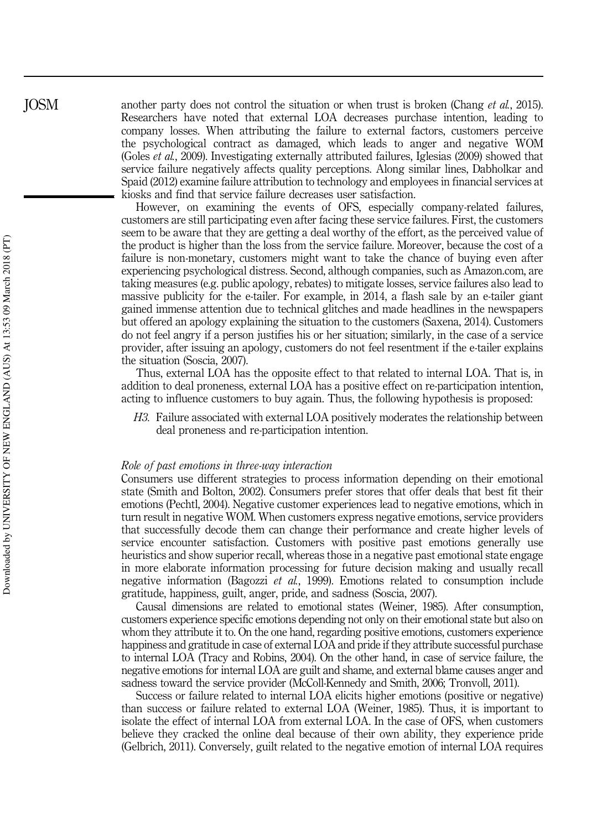another party does not control the situation or when trust is broken (Chang *et al.*, 2015). Researchers have noted that external LOA decreases purchase intention, leading to company losses. When attributing the failure to external factors, customers perceive the psychological contract as damaged, which leads to anger and negative WOM (Goles *et al.*, 2009). Investigating externally attributed failures, Iglesias (2009) showed that service failure negatively affects quality perceptions. Along similar lines, Dabholkar and Spaid (2012) examine failure attribution to technology and employees in financial services at kiosks and find that service failure decreases user satisfaction.

However, on examining the events of OFS, especially company-related failures, customers are still participating even after facing these service failures. First, the customers seem to be aware that they are getting a deal worthy of the effort, as the perceived value of the product is higher than the loss from the service failure. Moreover, because the cost of a failure is non-monetary, customers might want to take the chance of buying even after experiencing psychological distress. Second, although companies, such as Amazon.com, are taking measures (e.g. public apology, rebates) to mitigate losses, service failures also lead to massive publicity for the e-tailer. For example, in 2014, a flash sale by an e-tailer giant gained immense attention due to technical glitches and made headlines in the newspapers but offered an apology explaining the situation to the customers (Saxena, 2014). Customers do not feel angry if a person justifies his or her situation; similarly, in the case of a service provider, after issuing an apology, customers do not feel resentment if the e-tailer explains the situation (Soscia, 2007).

Thus, external LOA has the opposite effect to that related to internal LOA. That is, in addition to deal proneness, external LOA has a positive effect on re-participation intention, acting to influence customers to buy again. Thus, the following hypothesis is proposed:

*H3.* Failure associated with external LOA positively moderates the relationship between deal proneness and re-participation intention.

### *Role of past emotions in three-way interaction*

Consumers use different strategies to process information depending on their emotional state (Smith and Bolton, 2002). Consumers prefer stores that offer deals that best fit their emotions (Pechtl, 2004). Negative customer experiences lead to negative emotions, which in turn result in negative WOM. When customers express negative emotions, service providers that successfully decode them can change their performance and create higher levels of service encounter satisfaction. Customers with positive past emotions generally use heuristics and show superior recall, whereas those in a negative past emotional state engage in more elaborate information processing for future decision making and usually recall negative information (Bagozzi *et al.*, 1999). Emotions related to consumption include gratitude, happiness, guilt, anger, pride, and sadness (Soscia, 2007).

Causal dimensions are related to emotional states (Weiner, 1985). After consumption, customers experience specific emotions depending not only on their emotional state but also on whom they attribute it to. On the one hand, regarding positive emotions, customers experience happiness and gratitude in case of external LOA and pride if they attribute successful purchase to internal LOA (Tracy and Robins, 2004). On the other hand, in case of service failure, the negative emotions for internal LOA are guilt and shame, and external blame causes anger and sadness toward the service provider (McColl-Kennedy and Smith, 2006; Tronvoll, 2011).

Success or failure related to internal LOA elicits higher emotions (positive or negative) than success or failure related to external LOA (Weiner, 1985). Thus, it is important to isolate the effect of internal LOA from external LOA. In the case of OFS, when customers believe they cracked the online deal because of their own ability, they experience pride (Gelbrich, 2011). Conversely, guilt related to the negative emotion of internal LOA requires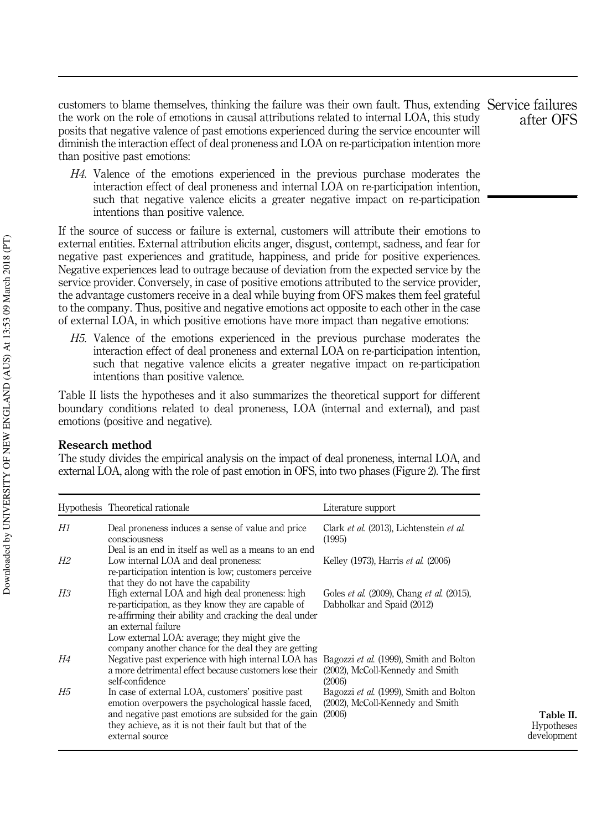customers to blame themselves, thinking the failure was their own fault. Thus, extending Service failures the work on the role of emotions in causal attributions related to internal LOA, this study posits that negative valence of past emotions experienced during the service encounter will diminish the interaction effect of deal proneness and LOA on re-participation intention more than positive past emotions:

*H4.* Valence of the emotions experienced in the previous purchase moderates the interaction effect of deal proneness and internal LOA on re-participation intention, such that negative valence elicits a greater negative impact on re-participation intentions than positive valence.

If the source of success or failure is external, customers will attribute their emotions to external entities. External attribution elicits anger, disgust, contempt, sadness, and fear for negative past experiences and gratitude, happiness, and pride for positive experiences. Negative experiences lead to outrage because of deviation from the expected service by the service provider. Conversely, in case of positive emotions attributed to the service provider, the advantage customers receive in a deal while buying from OFS makes them feel grateful to the company. Thus, positive and negative emotions act opposite to each other in the case of external LOA, in which positive emotions have more impact than negative emotions:

*H5.* Valence of the emotions experienced in the previous purchase moderates the interaction effect of deal proneness and external LOA on re-participation intention, such that negative valence elicits a greater negative impact on re-participation intentions than positive valence.

Table II lists the hypotheses and it also summarizes the theoretical support for different boundary conditions related to deal proneness, LOA (internal and external), and past emotions (positive and negative).

### Research method

The study divides the empirical analysis on the impact of deal proneness, internal LOA, and external LOA, along with the role of past emotion in OFS, into two phases (Figure 2). The first

|    | Hypothesis Theoretical rationale                                                                                                                                                                                                              | Literature support                                                                    |
|----|-----------------------------------------------------------------------------------------------------------------------------------------------------------------------------------------------------------------------------------------------|---------------------------------------------------------------------------------------|
| H1 | Deal proneness induces a sense of value and price<br>consciousness                                                                                                                                                                            | Clark et al. (2013), Lichtenstein et al.<br>(1995)                                    |
| H2 | Deal is an end in itself as well as a means to an end<br>Low internal LOA and deal proneness:<br>re-participation intention is low; customers perceive                                                                                        | Kelley (1973), Harris et al. (2006)                                                   |
| H3 | that they do not have the capability<br>High external LOA and high deal proneness: high<br>re-participation, as they know they are capable of<br>re-affirming their ability and cracking the deal under<br>an external failure                | Goles <i>et al.</i> (2009), Chang <i>et al.</i> (2015),<br>Dabholkar and Spaid (2012) |
|    | Low external LOA: average; they might give the<br>company another chance for the deal they are getting                                                                                                                                        |                                                                                       |
| H4 | Negative past experience with high internal LOA has<br>a more detrimental effect because customers lose their<br>self-confidence                                                                                                              | Bagozzi et al. (1999), Smith and Bolton<br>(2002), McColl-Kennedy and Smith<br>(2006) |
| Н5 | In case of external LOA, customers' positive past<br>emotion overpowers the psychological has sle faced,<br>and negative past emotions are subsided for the gain<br>they achieve, as it is not their fault but that of the<br>external source | Bagozzi et al. (1999), Smith and Bolton<br>(2002), McColl-Kennedy and Smith<br>(2006) |

## after OFS

Table II. Hypotheses development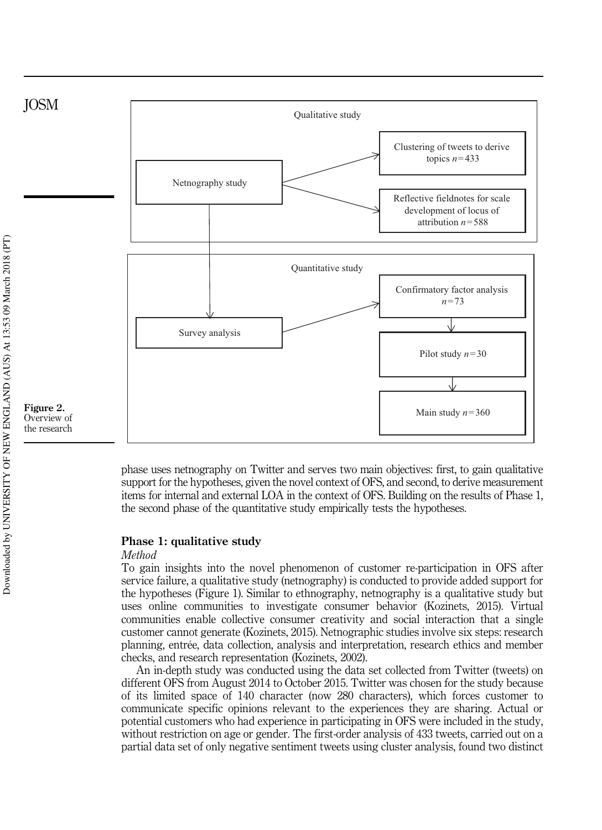

phase uses netnography on Twitter and serves two main objectives: first, to gain qualitative support for the hypotheses, given the novel context of OFS, and second, to derive measurement items for internal and external LOA in the context of OFS. Building on the results of Phase 1, the second phase of the quantitative study empirically tests the hypotheses.

### Phase 1: qualitative study

### *Method*

To gain insights into the novel phenomenon of customer re-participation in OFS after service failure, a qualitative study (netnography) is conducted to provide added support for the hypotheses (Figure 1). Similar to ethnography, netnography is a qualitative study but uses online communities to investigate consumer behavior (Kozinets, 2015). Virtual communities enable collective consumer creativity and social interaction that a single customer cannot generate (Kozinets, 2015). Netnographic studies involve six steps: research planning, entrée, data collection, analysis and interpretation, research ethics and member checks, and research representation (Kozinets, 2002).

An in-depth study was conducted using the data set collected from Twitter (tweets) on different OFS from August 2014 to October 2015. Twitter was chosen for the study because of its limited space of 140 character (now 280 characters), which forces customer to communicate specific opinions relevant to the experiences they are sharing. Actual or potential customers who had experience in participating in OFS were included in the study, without restriction on age or gender. The first-order analysis of 433 tweets, carried out on a partial data set of only negative sentiment tweets using cluster analysis, found two distinct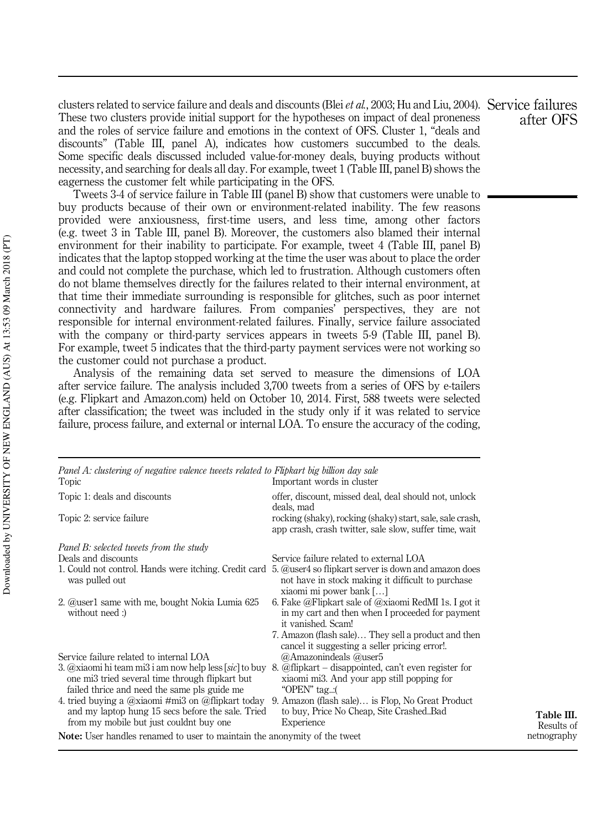clusters related to service failure and deals and discounts (Blei *et al.*, 2003; Hu and Liu, 2004). Service failures These two clusters provide initial support for the hypotheses on impact of deal proneness and the roles of service failure and emotions in the context of OFS. Cluster 1, "deals and discounts" (Table III, panel A), indicates how customers succumbed to the deals. Some specific deals discussed included value-for-money deals, buying products without necessity, and searching for deals all day. For example, tweet 1 (Table III, panel B) shows the eagerness the customer felt while participating in the OFS.

Tweets 3-4 of service failure in Table III (panel B) show that customers were unable to buy products because of their own or environment-related inability. The few reasons provided were anxiousness, first-time users, and less time, among other factors (e.g. tweet 3 in Table III, panel B). Moreover, the customers also blamed their internal environment for their inability to participate. For example, tweet 4 (Table III, panel B) indicates that the laptop stopped working at the time the user was about to place the order and could not complete the purchase, which led to frustration. Although customers often do not blame themselves directly for the failures related to their internal environment, at that time their immediate surrounding is responsible for glitches, such as poor internet connectivity and hardware failures. From companies' perspectives, they are not responsible for internal environment-related failures. Finally, service failure associated with the company or third-party services appears in tweets 5-9 (Table III, panel B). For example, tweet 5 indicates that the third-party payment services were not working so the customer could not purchase a product.

Analysis of the remaining data set served to measure the dimensions of LOA after service failure. The analysis included 3,700 tweets from a series of OFS by e-tailers (e.g. Flipkart and Amazon.com) held on October 10, 2014. First, 588 tweets were selected after classification; the tweet was included in the study only if it was related to service failure, process failure, and external or internal LOA. To ensure the accuracy of the coding,

| Panel A: clustering of negative valence tweets related to Flipkart big billion day sale<br>Topic                                                                                                               | Important words in cluster                                                                                                                                                                 |                          |
|----------------------------------------------------------------------------------------------------------------------------------------------------------------------------------------------------------------|--------------------------------------------------------------------------------------------------------------------------------------------------------------------------------------------|--------------------------|
| Topic 1: deals and discounts                                                                                                                                                                                   | offer, discount, missed deal, deal should not, unlock<br>deals, mad                                                                                                                        |                          |
| Topic 2: service failure                                                                                                                                                                                       | rocking (shaky), rocking (shaky) start, sale, sale crash,<br>app crash, crash twitter, sale slow, suffer time, wait                                                                        |                          |
| Panel B: selected tweets from the study                                                                                                                                                                        |                                                                                                                                                                                            |                          |
| Deals and discounts                                                                                                                                                                                            | Service failure related to external LOA                                                                                                                                                    |                          |
| was pulled out                                                                                                                                                                                                 | 1. Could not control. Hands were itching. Credit card 5. @user4 so flipkart server is down and amazon does<br>not have in stock making it difficult to purchase<br>xiaomi mi power bank [] |                          |
| 2. @user1 same with me, bought Nokia Lumia 625<br>without need :)                                                                                                                                              | 6. Fake @Flipkart sale of @xiaomi RedMI 1s. I got it<br>in my cart and then when I proceeded for payment<br>it vanished. Scam!                                                             |                          |
|                                                                                                                                                                                                                | 7. Amazon (flash sale) They sell a product and then<br>cancel it suggesting a seller pricing error!                                                                                        |                          |
| Service failure related to internal LOA                                                                                                                                                                        | @Amazonindeals @user5                                                                                                                                                                      |                          |
| 3. @xiaomi hi team mi3 i am now help less [sic] to buy 8. @flipkart – disappointed, can't even register for<br>one mi3 tried several time through flipkart but<br>failed thrice and need the same pls guide me | xiaomi mi3. And your app still popping for<br>"OPEN" tag: $($                                                                                                                              |                          |
| 4. tried buying a $@xiaomi \#mi3$ on $@flipkart$ today<br>and my laptop hung 15 secs before the sale. Tried<br>from my mobile but just couldnt buy one                                                         | 9. Amazon (flash sale) is Flop, No Great Product<br>to buy, Price No Cheap, Site CrashedBad<br>Experience                                                                                  | Table III.<br>Results of |
| <b>Note:</b> User handles renamed to user to maintain the anonymity of the tweet                                                                                                                               |                                                                                                                                                                                            | netnography              |
|                                                                                                                                                                                                                |                                                                                                                                                                                            |                          |

after OFS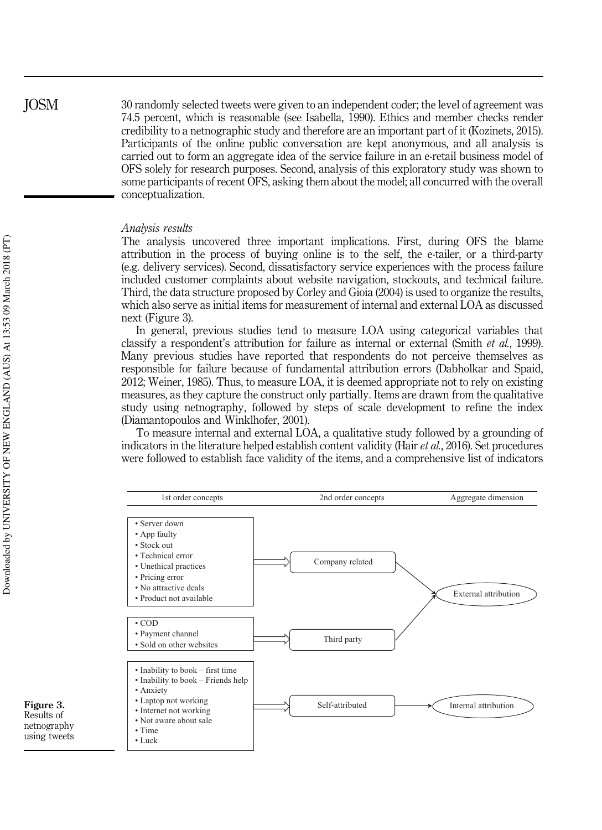30 randomly selected tweets were given to an independent coder; the level of agreement was 74.5 percent, which is reasonable (see Isabella, 1990). Ethics and member checks render credibility to a netnographic study and therefore are an important part of it (Kozinets, 2015). Participants of the online public conversation are kept anonymous, and all analysis is carried out to form an aggregate idea of the service failure in an e-retail business model of OFS solely for research purposes. Second, analysis of this exploratory study was shown to some participants of recent OFS, asking them about the model; all concurred with the overall conceptualization.

### *Analysis results*

The analysis uncovered three important implications. First, during OFS the blame attribution in the process of buying online is to the self, the e-tailer, or a third-party (e.g. delivery services). Second, dissatisfactory service experiences with the process failure included customer complaints about website navigation, stockouts, and technical failure. Third, the data structure proposed by Corley and Gioia (2004) is used to organize the results, which also serve as initial items for measurement of internal and external LOA as discussed next (Figure 3).

In general, previous studies tend to measure LOA using categorical variables that classify a respondent's attribution for failure as internal or external (Smith *et al.*, 1999). Many previous studies have reported that respondents do not perceive themselves as responsible for failure because of fundamental attribution errors (Dabholkar and Spaid, 2012; Weiner, 1985). Thus, to measure LOA, it is deemed appropriate not to rely on existing measures, as they capture the construct only partially. Items are drawn from the qualitative study using netnography, followed by steps of scale development to refine the index (Diamantopoulos and Winklhofer, 2001).

To measure internal and external LOA, a qualitative study followed by a grounding of indicators in the literature helped establish content validity (Hair *et al.*, 2016). Set procedures were followed to establish face validity of the items, and a comprehensive list of indicators



Results of netnography using tweets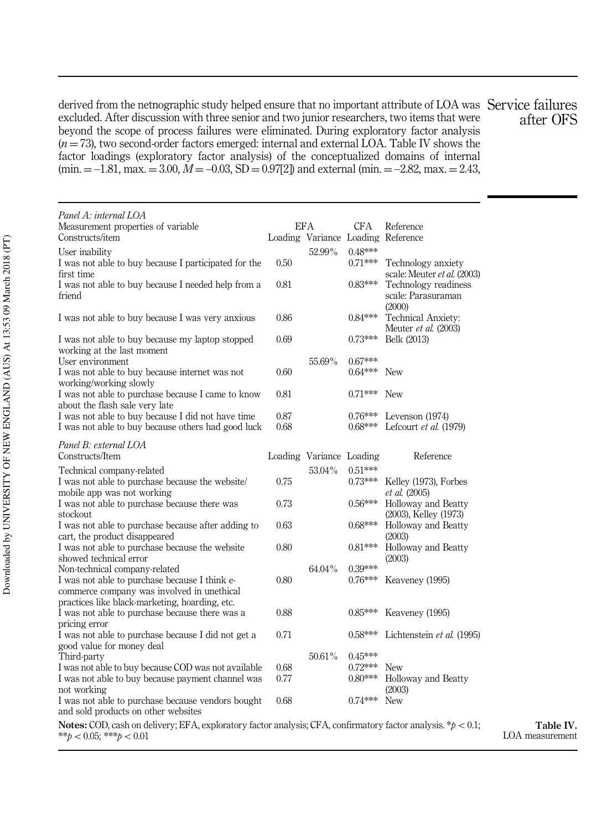derived from the netnographic study helped ensure that no important attribute of LOA was Service failures excluded. After discussion with three senior and two junior researchers, two items that were beyond the scope of process failures were eliminated. During exploratory factor analysis  $(n = 73)$ , two second-order factors emerged: internal and external LOA. Table IV shows the factor loadings (exploratory factor analysis) of the conceptualized domains of internal  $(\text{min.} = -1.81, \text{max.} = 3.00, M = -0.03, SD = 0.97[2])$  and external  $(\text{min.} = -2.82, \text{max.} = 2.43,$ 

## after OFS

| Panel A: internal LOA<br>Measurement properties of variable.                                                                                              |      | <b>EFA</b>               | <b>CFA</b>             | Reference                                            |                         |
|-----------------------------------------------------------------------------------------------------------------------------------------------------------|------|--------------------------|------------------------|------------------------------------------------------|-------------------------|
| Constructs/item                                                                                                                                           |      |                          |                        | Loading Variance Loading Reference                   |                         |
| User inability<br>I was not able to buy because I participated for the<br>first time                                                                      | 0.50 | 52.99%                   | $0.48***$<br>$0.71***$ | Technology anxiety<br>scale: Meuter et al. (2003)    |                         |
| I was not able to buy because I needed help from a<br>friend                                                                                              | 0.81 |                          | $0.83***$              | Technology readiness<br>scale: Parasuraman<br>(2000) |                         |
| I was not able to buy because I was very anxious                                                                                                          | 0.86 |                          | $0.84***$              | Technical Anxiety:<br>Meuter et al. (2003)           |                         |
| I was not able to buy because my laptop stopped<br>working at the last moment                                                                             | 0.69 |                          | $0.73***$              | Belk (2013)                                          |                         |
| User environment                                                                                                                                          |      | 55.69%                   | $0.67***$              |                                                      |                         |
| I was not able to buy because internet was not<br>working/working slowly                                                                                  | 0.60 |                          | $0.64***$              | New                                                  |                         |
| I was not able to purchase because I came to know<br>about the flash sale very late                                                                       | 0.81 |                          | $0.71***$              | <b>New</b>                                           |                         |
| I was not able to buy because I did not have time                                                                                                         | 0.87 |                          | $0.76***$              | Levenson $(1974)$                                    |                         |
| I was not able to buy because others had good luck                                                                                                        | 0.68 |                          |                        | 0.68*** Lefcourt et al. (1979)                       |                         |
| Panel B: external LOA                                                                                                                                     |      |                          |                        |                                                      |                         |
| Constructs/Item                                                                                                                                           |      | Loading Variance Loading |                        | Reference                                            |                         |
| Technical company-related                                                                                                                                 |      | 53.04%                   | $0.51***$              |                                                      |                         |
| I was not able to purchase because the website/<br>mobile app was not working                                                                             | 0.75 |                          | $0.73***$              | Kelley (1973), Forbes<br><i>et al.</i> (2005)        |                         |
| I was not able to purchase because there was<br>stockout                                                                                                  | 0.73 |                          | $0.56***$              | Holloway and Beatty<br>(2003), Kelley (1973)         |                         |
| I was not able to purchase because after adding to<br>cart, the product disappeared                                                                       | 0.63 |                          | $0.68***$              | Holloway and Beatty<br>(2003)                        |                         |
| I was not able to purchase because the website<br>showed technical error                                                                                  | 0.80 |                          | $0.81***$              | Holloway and Beatty<br>(2003)                        |                         |
| Non-technical company-related                                                                                                                             |      | 64.04%                   | $0.39***$              |                                                      |                         |
| I was not able to purchase because I think e-<br>commerce company was involved in unethical<br>practices like black-marketing, hoarding, etc.             | 0.80 |                          | $0.76***$              | Keaveney (1995)                                      |                         |
| I was not able to purchase because there was a<br>pricing error                                                                                           | 0.88 |                          | $0.85***$              | Keaveney (1995)                                      |                         |
| I was not able to purchase because I did not get a<br>good value for money deal                                                                           | 0.71 |                          | $0.58***$              | Lichtenstein et al. (1995)                           |                         |
| Third-party                                                                                                                                               |      | $50.61\%$                | $0.45***$              |                                                      |                         |
| I was not able to buy because COD was not available                                                                                                       | 0.68 |                          | $0.72***$              | <b>New</b>                                           |                         |
| I was not able to buy because payment channel was<br>not working                                                                                          | 0.77 |                          | $0.80***$              | Holloway and Beatty<br>(2003)                        |                         |
| I was not able to purchase because vendors bought<br>and sold products on other websites                                                                  | 0.68 |                          | $0.74***$              | New                                                  |                         |
| <b>Notes:</b> COD, cash on delivery; EFA, exploratory factor analysis; CFA, confirmatory factor analysis. * $p < 0.1$ ;<br>** $b < 0.05$ ; *** $b < 0.01$ |      |                          |                        |                                                      | Table 1<br>LOA measurem |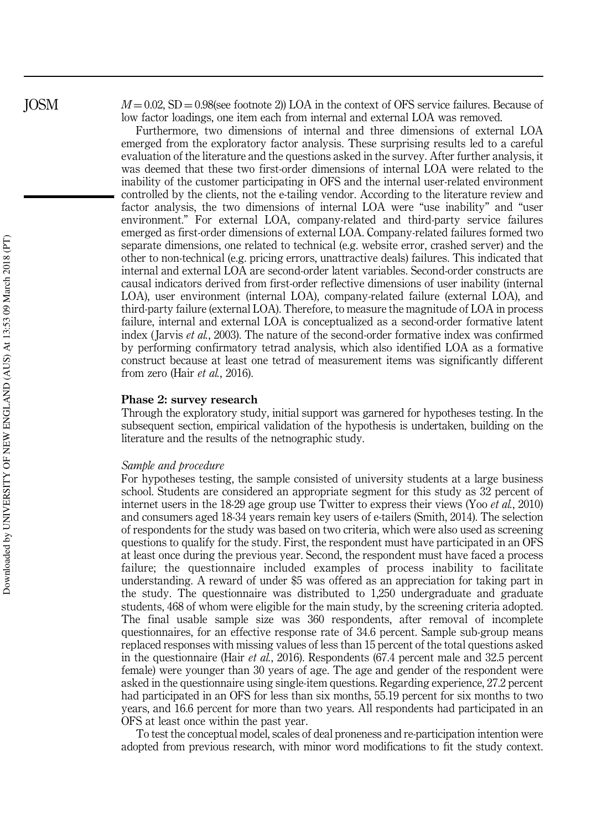**JOSM** 

 $M = 0.02$ , SD = 0.98(see footnote 2)) LOA in the context of OFS service failures. Because of low factor loadings, one item each from internal and external LOA was removed.

Furthermore, two dimensions of internal and three dimensions of external LOA emerged from the exploratory factor analysis. These surprising results led to a careful evaluation of the literature and the questions asked in the survey. After further analysis, it was deemed that these two first-order dimensions of internal LOA were related to the inability of the customer participating in OFS and the internal user-related environment controlled by the clients, not the e-tailing vendor. According to the literature review and factor analysis, the two dimensions of internal LOA were "use inability" and "user environment." For external LOA, company-related and third-party service failures emerged as first-order dimensions of external LOA. Company-related failures formed two separate dimensions, one related to technical (e.g. website error, crashed server) and the other to non-technical (e.g. pricing errors, unattractive deals) failures. This indicated that internal and external LOA are second-order latent variables. Second-order constructs are causal indicators derived from first-order reflective dimensions of user inability (internal LOA), user environment (internal LOA), company-related failure (external LOA), and third-party failure (external LOA). Therefore, to measure the magnitude of LOA in process failure, internal and external LOA is conceptualized as a second-order formative latent index ( Jarvis *et al.*, 2003). The nature of the second-order formative index was confirmed by performing confirmatory tetrad analysis, which also identified LOA as a formative construct because at least one tetrad of measurement items was significantly different from zero (Hair *et al.*, 2016).

### Phase 2: survey research

Through the exploratory study, initial support was garnered for hypotheses testing. In the subsequent section, empirical validation of the hypothesis is undertaken, building on the literature and the results of the netnographic study.

### *Sample and procedure*

For hypotheses testing, the sample consisted of university students at a large business school. Students are considered an appropriate segment for this study as 32 percent of internet users in the 18-29 age group use Twitter to express their views (Yoo *et al.*, 2010) and consumers aged 18-34 years remain key users of e-tailers (Smith, 2014). The selection of respondents for the study was based on two criteria, which were also used as screening questions to qualify for the study. First, the respondent must have participated in an OFS at least once during the previous year. Second, the respondent must have faced a process failure; the questionnaire included examples of process inability to facilitate understanding. A reward of under \$5 was offered as an appreciation for taking part in the study. The questionnaire was distributed to 1,250 undergraduate and graduate students, 468 of whom were eligible for the main study, by the screening criteria adopted. The final usable sample size was 360 respondents, after removal of incomplete questionnaires, for an effective response rate of 34.6 percent. Sample sub-group means replaced responses with missing values of less than 15 percent of the total questions asked in the questionnaire (Hair *et al.*, 2016). Respondents (67.4 percent male and 32.5 percent female) were younger than 30 years of age. The age and gender of the respondent were asked in the questionnaire using single-item questions. Regarding experience, 27.2 percent had participated in an OFS for less than six months, 55.19 percent for six months to two years, and 16.6 percent for more than two years. All respondents had participated in an OFS at least once within the past year.

To test the conceptual model, scales of deal proneness and re-participation intention were adopted from previous research, with minor word modifications to fit the study context.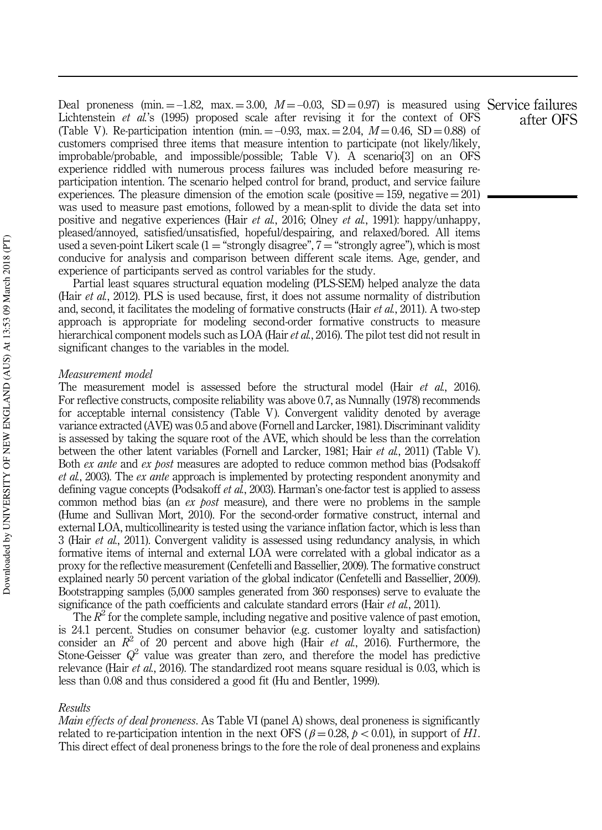Deal proneness (min.  $= -1.82$ , max.  $= 3.00$ ,  $M = -0.03$ , SD  $= 0.97$ ) is measured using Service failures Lichtenstein *et al.*'s (1995) proposed scale after revising it for the context of OFS (Table V). Re-participation intention (min.  $= -0.93$ , max.  $= 2.04$ ,  $M = 0.46$ , SD  $= 0.88$ ) of customers comprised three items that measure intention to participate (not likely/likely, improbable/probable, and impossible/possible; Table V). A scenario[3] on an OFS experience riddled with numerous process failures was included before measuring reparticipation intention. The scenario helped control for brand, product, and service failure experiences. The pleasure dimension of the emotion scale (positive  $= 159$ , negative  $= 201$ ) was used to measure past emotions, followed by a mean-split to divide the data set into positive and negative experiences (Hair *et al.*, 2016; Olney *et al.*, 1991): happy/unhappy, pleased/annoyed, satisfied/unsatisfied, hopeful/despairing, and relaxed/bored. All items used a seven-point Likert scale  $(1 -$  "strongly disagree",  $7 -$  "strongly agree"), which is most conducive for analysis and comparison between different scale items. Age, gender, and experience of participants served as control variables for the study.

Partial least squares structural equation modeling (PLS-SEM) helped analyze the data (Hair *et al.*, 2012). PLS is used because, first, it does not assume normality of distribution and, second, it facilitates the modeling of formative constructs (Hair *et al.*, 2011). A two-step approach is appropriate for modeling second-order formative constructs to measure hierarchical component models such as LOA (Hair *et al.*, 2016). The pilot test did not result in significant changes to the variables in the model.

### *Measurement model*

The measurement model is assessed before the structural model (Hair *et al.*, 2016). For reflective constructs, composite reliability was above 0.7, as Nunnally (1978) recommends for acceptable internal consistency (Table V). Convergent validity denoted by average variance extracted (AVE) was 0.5 and above (Fornell and Larcker, 1981). Discriminant validity is assessed by taking the square root of the AVE, which should be less than the correlation between the other latent variables (Fornell and Larcker, 1981; Hair *et al.*, 2011) (Table V). Both *ex ante* and *ex post* measures are adopted to reduce common method bias (Podsakoff *et al.*, 2003). The *ex ante* approach is implemented by protecting respondent anonymity and defining vague concepts (Podsakoff *et al.*, 2003). Harman's one-factor test is applied to assess common method bias (an *ex post* measure), and there were no problems in the sample (Hume and Sullivan Mort, 2010). For the second-order formative construct, internal and external LOA, multicollinearity is tested using the variance inflation factor, which is less than 3 (Hair *et al.*, 2011). Convergent validity is assessed using redundancy analysis, in which formative items of internal and external LOA were correlated with a global indicator as a proxy for the reflective measurement (Cenfetelli and Bassellier, 2009). The formative construct explained nearly 50 percent variation of the global indicator (Cenfetelli and Bassellier, 2009). Bootstrapping samples (5,000 samples generated from 360 responses) serve to evaluate the significance of the path coefficients and calculate standard errors (Hair *et al.*, 2011).

The  $R^2$  for the complete sample, including negative and positive valence of past emotion, is 24.1 percent. Studies on consumer behavior (e.g. customer loyalty and satisfaction) consider an  $R^2$  of 20 percent and above high (Hair *et al.*, 2016). Furthermore, the Stone-Geisser  $Q^2$  value was greater than zero, and therefore the model has predictive relevance (Hair *et al.*, 2016). The standardized root means square residual is 0.03, which is less than 0.08 and thus considered a good fit (Hu and Bentler, 1999).

### *Results*

*Main effects of deal proneness.* As Table VI (panel A) shows, deal proneness is significantly related to re-participation intention in the next OFS ( $\beta$  = 0.28,  $p$  < 0.01), in support of *H1*. This direct effect of deal proneness brings to the fore the role of deal proneness and explains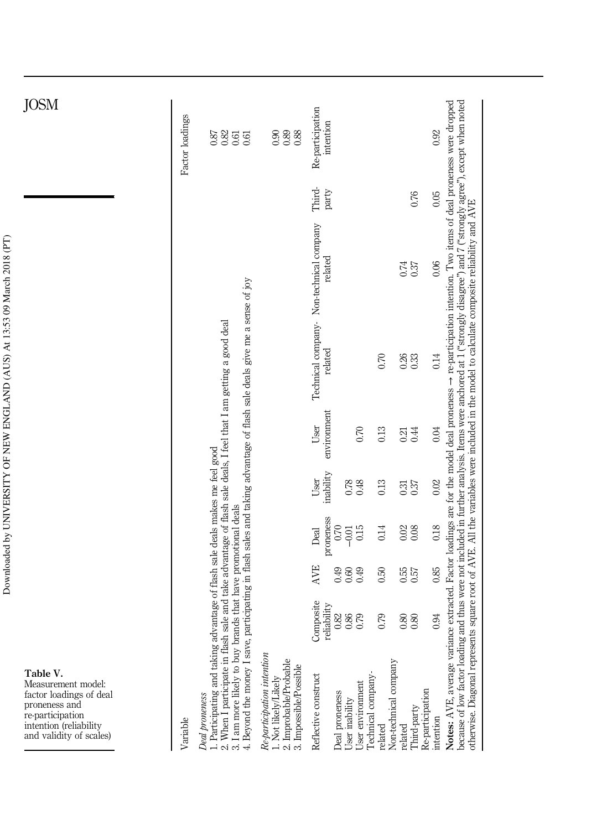| <b>JOSM</b>                                                                                                                                         | Factor loadings | $\frac{0.82}{0.61}$<br>0.87<br>0.61                                                                                                                                                                                              | 0.89<br>0.88                                                                                           | Re-participation<br>intention                       |                                  |                                        |         |                                  |                                 | 0.92      |                                                                                                                                                                                                                                                                                                                                                                                        |
|-----------------------------------------------------------------------------------------------------------------------------------------------------|-----------------|----------------------------------------------------------------------------------------------------------------------------------------------------------------------------------------------------------------------------------|--------------------------------------------------------------------------------------------------------|-----------------------------------------------------|----------------------------------|----------------------------------------|---------|----------------------------------|---------------------------------|-----------|----------------------------------------------------------------------------------------------------------------------------------------------------------------------------------------------------------------------------------------------------------------------------------------------------------------------------------------------------------------------------------------|
|                                                                                                                                                     |                 |                                                                                                                                                                                                                                  |                                                                                                        | Third-<br>party                                     |                                  |                                        |         |                                  | 0.76                            | 0.05      |                                                                                                                                                                                                                                                                                                                                                                                        |
|                                                                                                                                                     |                 |                                                                                                                                                                                                                                  |                                                                                                        | Technical company- Non-technical company<br>related |                                  |                                        |         | 0.74                             | 0.37                            | 0.06      | ce extracted. Factor loadings are for the model deal proneness $\rightarrow$ re-participation intention. Two items of deal proneness were dropped<br>and thus were not included in further analysis. Items were anchored at 1 ("strongly disagree") and 7 ("strongly agree"), except when noted<br>ts square root of AVE. All the variables were included in the model to calculate co |
|                                                                                                                                                     |                 | participating in flash sales and taking advantage of flash sale deals give me a sense of joy<br>sale and take advantage of flash sale deals, I feel that I am getting a good deal                                                |                                                                                                        | related                                             |                                  |                                        | 0.70    | 0.26                             | 0.33                            | 0.14      |                                                                                                                                                                                                                                                                                                                                                                                        |
|                                                                                                                                                     |                 |                                                                                                                                                                                                                                  |                                                                                                        | environment<br>User                                 |                                  | 0.70                                   | 0.13    | 0.21                             | 0.44                            | $0.04\,$  |                                                                                                                                                                                                                                                                                                                                                                                        |
|                                                                                                                                                     |                 |                                                                                                                                                                                                                                  |                                                                                                        | inability<br>User                                   | 0.78                             | 0.48                                   | 0.13    | 0.31                             | 0.37                            | $0.02\,$  |                                                                                                                                                                                                                                                                                                                                                                                        |
|                                                                                                                                                     |                 |                                                                                                                                                                                                                                  |                                                                                                        | proneness<br>Deal                                   | 0.70<br>$-0.01$                  | 0.15                                   | 0.14    | 0.02                             | 0.08                            | 0.18      |                                                                                                                                                                                                                                                                                                                                                                                        |
|                                                                                                                                                     |                 |                                                                                                                                                                                                                                  |                                                                                                        | <b>AVE</b>                                          | 0.49<br>0.60                     | 0.49                                   | 0.50    |                                  | 250<br>950                      | 0.85      |                                                                                                                                                                                                                                                                                                                                                                                        |
|                                                                                                                                                     |                 |                                                                                                                                                                                                                                  |                                                                                                        | Composite<br>reliability                            | $\frac{0.82}{0.86}$              | 0.79                                   | 0.79    | 0.80                             | 0.80                            | 0.94      |                                                                                                                                                                                                                                                                                                                                                                                        |
| Table V.<br>Measurement model:<br>factor loadings of deal<br>proneness and<br>re-participation<br>intention (reliability<br>and validity of scales) | Variable        | 1. Participating and taking advantage of flash sale deals makes me feel good<br>3. I am more likely to buy brands that have promotional deals<br>2. When I participate in flash<br>4. Beyond the money I save,<br>Deal proneness | Re-participation intention<br>2. Improbable/Probable<br>3. Impossible/Possible<br>1. Not likely/Likely | Reflective construct                                | Deal proneness<br>User inability | Technical company-<br>User environment | related | Non-technical company<br>related | Re-participation<br>Third-party | intention | Notes: AVE, average variano<br>because of low factor loading<br>otherwise. Diagonal represent                                                                                                                                                                                                                                                                                          |

Downloaded by UNIVERSITY OF NEW ENGLAND (AUS) At 13:53 09 March 2018 (PT) Downloaded by UNIVERSITY OF NEW ENGLAND (AUS) At 13:53 09 March 2018 (PT)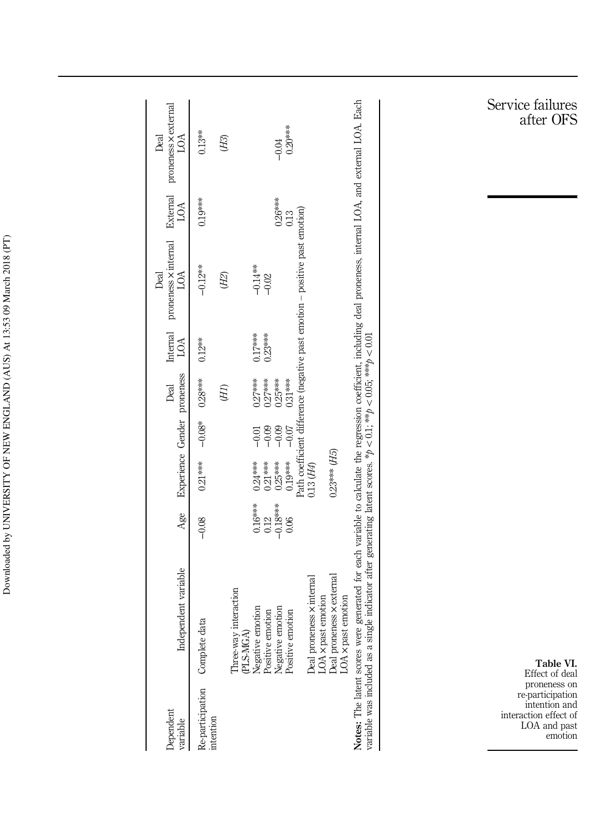| proneness x external<br>Deal<br><b>SOL</b> | $0.13**$         | $\left( H3\right)$                 | $0.20***$<br>$-0.04$                                                                                                                                           |                                                                                                    |                                                                                                                                                                                                                                                                    | Service failures<br>after OFS                                                              |
|--------------------------------------------|------------------|------------------------------------|----------------------------------------------------------------------------------------------------------------------------------------------------------------|----------------------------------------------------------------------------------------------------|--------------------------------------------------------------------------------------------------------------------------------------------------------------------------------------------------------------------------------------------------------------------|--------------------------------------------------------------------------------------------|
|                                            |                  |                                    |                                                                                                                                                                |                                                                                                    |                                                                                                                                                                                                                                                                    |                                                                                            |
| External<br>LOA                            | $0.19***$        |                                    | $0.26***$<br>0.13                                                                                                                                              |                                                                                                    |                                                                                                                                                                                                                                                                    |                                                                                            |
| proneness x internal<br>Deal<br>LOA        | $-0.12**$        | $\left( H2\right)$                 | $-0.14**$<br>$-0.02$                                                                                                                                           | Path coefficient difference (negative past emotion - positive past emotion)                        |                                                                                                                                                                                                                                                                    |                                                                                            |
| Internal<br>LOA                            | $0.12**$         |                                    | $0.23***$<br>$0.17***$                                                                                                                                         |                                                                                                    |                                                                                                                                                                                                                                                                    |                                                                                            |
| proneness<br>Deal                          | $0.28***$        | (H)                                | $\frac{27}{27}$ ***<br>$0.25***$<br>$0.31***$                                                                                                                  |                                                                                                    |                                                                                                                                                                                                                                                                    |                                                                                            |
|                                            | $-0.08*$         |                                    | $-0.09$<br>$-0.09$<br>$-0.07$<br>$-0.01$                                                                                                                       |                                                                                                    |                                                                                                                                                                                                                                                                    |                                                                                            |
| Experience Gender                          | $0.21***$        |                                    | $0.19***$<br>$0.24***$<br>$0.21***$<br>$0.25***$                                                                                                               | $0.23***$ (H5)<br>0.13 (H4)                                                                        |                                                                                                                                                                                                                                                                    |                                                                                            |
| Age                                        | $-0.08$          |                                    | $0.16***$<br>$\frac{0.12}{-0.18***}$<br>0.06                                                                                                                   |                                                                                                    |                                                                                                                                                                                                                                                                    |                                                                                            |
| Independent variable                       | Complete data    | Three-way interaction<br>(PLS-MGA) | $\begin{array}{l} \mbox{Negative emotion}\\ \mbox{Positive emotion}\\ \mbox{Negative emotion}\\ \mbox{Positive emotion}\\ \mbox{Positive emotion} \end{array}$ | Deal proneness x internal<br>LOA x past emotion<br>Deal proneness x external<br>LOA x past emotion | Notes: The latent scores were generated for each variable to calculate the regression coefficient, including deal proneness, internal LOA, and external LOA. Each<br>single indicator after generating latent scores. * $p < 0.1$ ; ** $p < 0.05$ ; *** $p < 0.01$ | Effect of deal                                                                             |
| Dependent<br>variable                      | Re-participation | intention                          |                                                                                                                                                                |                                                                                                    | variable was included as a                                                                                                                                                                                                                                         | proneness on<br>re-participation<br>intention and<br>interaction effect of<br>LOA and past |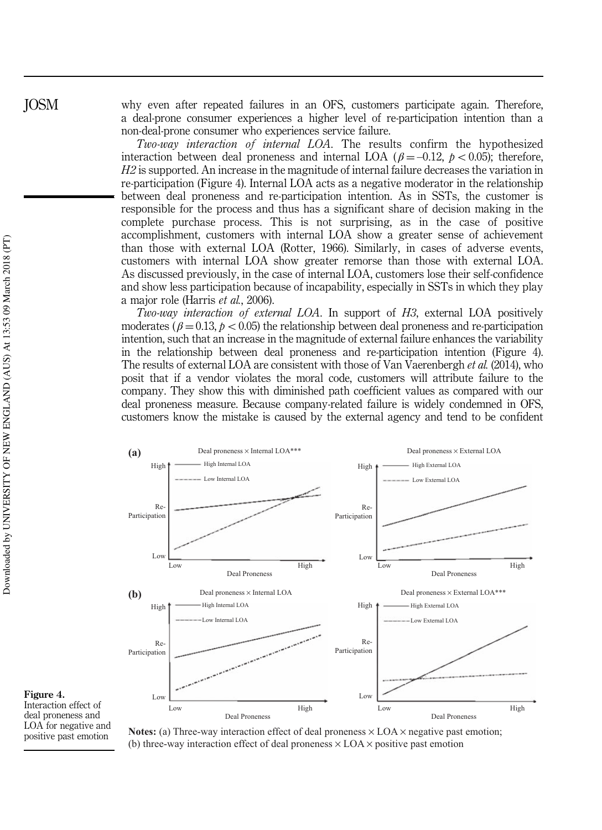why even after repeated failures in an OFS, customers participate again. Therefore, a deal-prone consumer experiences a higher level of re-participation intention than a non-deal-prone consumer who experiences service failure.

*Two-way interaction of internal LOA*. The results confirm the hypothesized interaction between deal proneness and internal LOA ( $\beta = -0.12$ ,  $p < 0.05$ ); therefore, *H2* is supported. An increase in the magnitude of internal failure decreases the variation in re-participation (Figure 4). Internal LOA acts as a negative moderator in the relationship between deal proneness and re-participation intention. As in SSTs, the customer is responsible for the process and thus has a significant share of decision making in the complete purchase process. This is not surprising, as in the case of positive accomplishment, customers with internal LOA show a greater sense of achievement than those with external LOA (Rotter, 1966). Similarly, in cases of adverse events, customers with internal LOA show greater remorse than those with external LOA. As discussed previously, in the case of internal LOA, customers lose their self-confidence and show less participation because of incapability, especially in SSTs in which they play a major role (Harris *et al.*, 2006).

*Two-way interaction of external LOA*. In support of *H3*, external LOA positively moderates ( $\beta = 0.13$ ,  $p < 0.05$ ) the relationship between deal proneness and re-participation intention, such that an increase in the magnitude of external failure enhances the variability in the relationship between deal proneness and re-participation intention (Figure 4). The results of external LOA are consistent with those of Van Vaerenbergh *et al.* (2014), who posit that if a vendor violates the moral code, customers will attribute failure to the company. They show this with diminished path coefficient values as compared with our deal proneness measure. Because company-related failure is widely condemned in OFS, customers know the mistake is caused by the external agency and tend to be confident



Figure 4. Interaction effect of deal proneness and LOA for negative and positive past emotion

**Notes:** (a) Three-way interaction effect of deal proneness LOA negative past emotion; (b) three-way interaction effect of deal proneness LOA positive past emotion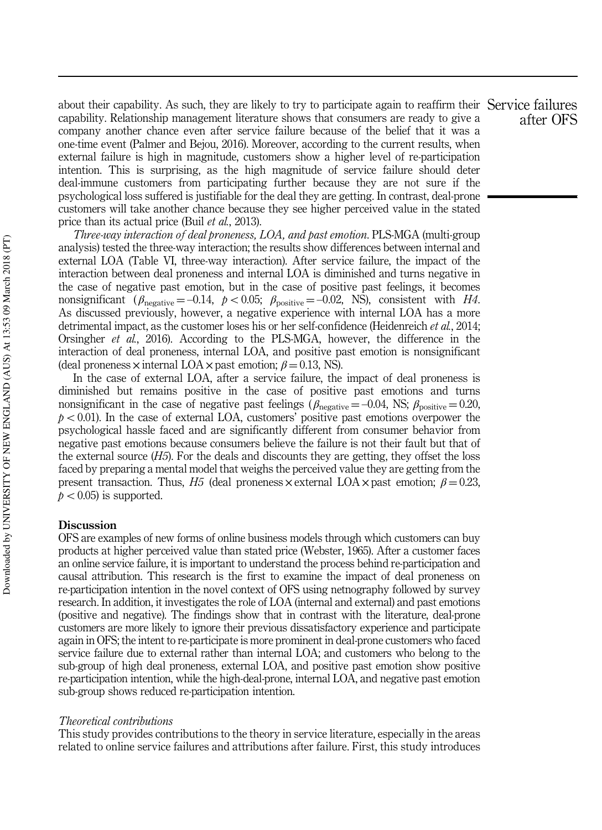about their capability. As such, they are likely to try to participate again to reaffirm their Service failures capability. Relationship management literature shows that consumers are ready to give a company another chance even after service failure because of the belief that it was a one-time event (Palmer and Bejou, 2016). Moreover, according to the current results, when external failure is high in magnitude, customers show a higher level of re-participation intention. This is surprising, as the high magnitude of service failure should deter deal-immune customers from participating further because they are not sure if the psychological loss suffered is justifiable for the deal they are getting. In contrast, deal-prone customers will take another chance because they see higher perceived value in the stated price than its actual price (Buil *et al.*, 2013).

*Three-way interaction of deal proneness, LOA, and past emotion*. PLS-MGA (multi-group analysis) tested the three-way interaction; the results show differences between internal and external LOA (Table VI, three-way interaction). After service failure, the impact of the interaction between deal proneness and internal LOA is diminished and turns negative in the case of negative past emotion, but in the case of positive past feelings, it becomes nonsignificant ( $\beta_{\text{negative}} = -0.14$ ,  $p < 0.05$ ;  $\beta_{\text{positive}} = -0.02$ , NS), consistent with *H4*. As discussed previously, however, a negative experience with internal LOA has a more detrimental impact, as the customer loses his or her self-confidence (Heidenreich *et al.*, 2014; Orsingher *et al.*, 2016). According to the PLS-MGA, however, the difference in the interaction of deal proneness, internal LOA, and positive past emotion is nonsignificant (deal proneness  $\times$  internal LOA  $\times$  past emotion;  $\beta = 0.13$ , NS).

In the case of external LOA, after a service failure, the impact of deal proneness is diminished but remains positive in the case of positive past emotions and turns nonsignificant in the case of negative past feelings ( $\beta_{\text{negative}} = -0.04$ , NS;  $\beta_{\text{positive}} = 0.20$ ,  $p < 0.01$ ). In the case of external LOA, customers' positive past emotions overpower the psychological hassle faced and are significantly different from consumer behavior from negative past emotions because consumers believe the failure is not their fault but that of the external source  $(H_2)$ . For the deals and discounts they are getting, they offset the loss faced by preparing a mental model that weighs the perceived value they are getting from the present transaction. Thus, *H5* (deal proneness  $\times$  external LOA  $\times$  past emotion;  $\beta = 0.23$ ,  $p < 0.05$ ) is supported.

### Discussion

OFS are examples of new forms of online business models through which customers can buy products at higher perceived value than stated price (Webster, 1965). After a customer faces an online service failure, it is important to understand the process behind re-participation and causal attribution. This research is the first to examine the impact of deal proneness on re-participation intention in the novel context of OFS using netnography followed by survey research. In addition, it investigates the role of LOA (internal and external) and past emotions (positive and negative). The findings show that in contrast with the literature, deal-prone customers are more likely to ignore their previous dissatisfactory experience and participate again in OFS; the intent to re-participate is more prominent in deal-prone customers who faced service failure due to external rather than internal LOA; and customers who belong to the sub-group of high deal proneness, external LOA, and positive past emotion show positive re-participation intention, while the high-deal-prone, internal LOA, and negative past emotion sub-group shows reduced re-participation intention.

### *Theoretical contributions*

This study provides contributions to the theory in service literature, especially in the areas related to online service failures and attributions after failure. First, this study introduces

after OFS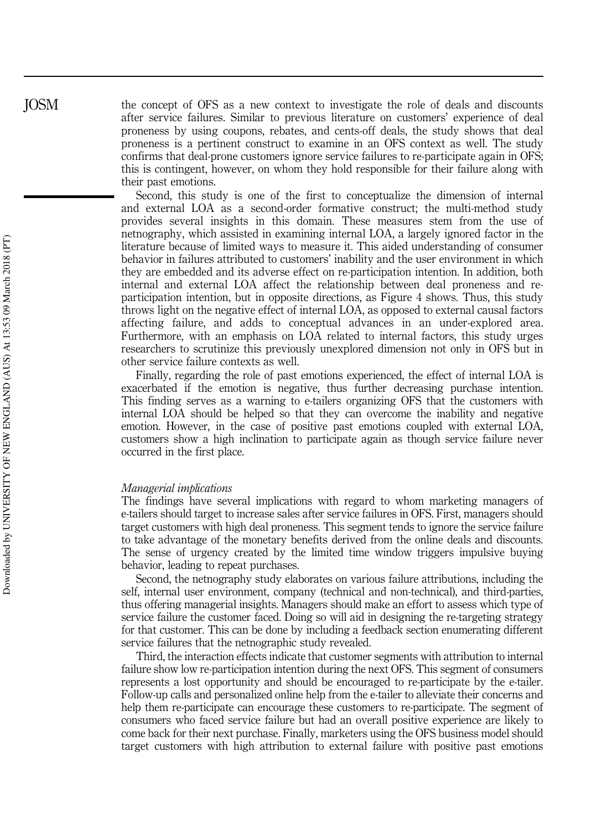the concept of OFS as a new context to investigate the role of deals and discounts after service failures. Similar to previous literature on customers' experience of deal proneness by using coupons, rebates, and cents-off deals, the study shows that deal proneness is a pertinent construct to examine in an OFS context as well. The study confirms that deal-prone customers ignore service failures to re-participate again in OFS; this is contingent, however, on whom they hold responsible for their failure along with their past emotions.

Second, this study is one of the first to conceptualize the dimension of internal and external LOA as a second-order formative construct; the multi-method study provides several insights in this domain. These measures stem from the use of netnography, which assisted in examining internal LOA, a largely ignored factor in the literature because of limited ways to measure it. This aided understanding of consumer behavior in failures attributed to customers' inability and the user environment in which they are embedded and its adverse effect on re-participation intention. In addition, both internal and external LOA affect the relationship between deal proneness and reparticipation intention, but in opposite directions, as Figure 4 shows. Thus, this study throws light on the negative effect of internal LOA, as opposed to external causal factors affecting failure, and adds to conceptual advances in an under-explored area. Furthermore, with an emphasis on LOA related to internal factors, this study urges researchers to scrutinize this previously unexplored dimension not only in OFS but in other service failure contexts as well.

Finally, regarding the role of past emotions experienced, the effect of internal LOA is exacerbated if the emotion is negative, thus further decreasing purchase intention. This finding serves as a warning to e-tailers organizing OFS that the customers with internal LOA should be helped so that they can overcome the inability and negative emotion. However, in the case of positive past emotions coupled with external LOA, customers show a high inclination to participate again as though service failure never occurred in the first place.

### *Managerial implications*

The findings have several implications with regard to whom marketing managers of e-tailers should target to increase sales after service failures in OFS. First, managers should target customers with high deal proneness. This segment tends to ignore the service failure to take advantage of the monetary benefits derived from the online deals and discounts. The sense of urgency created by the limited time window triggers impulsive buying behavior, leading to repeat purchases.

Second, the netnography study elaborates on various failure attributions, including the self, internal user environment, company (technical and non-technical), and third-parties, thus offering managerial insights. Managers should make an effort to assess which type of service failure the customer faced. Doing so will aid in designing the re-targeting strategy for that customer. This can be done by including a feedback section enumerating different service failures that the netnographic study revealed.

Third, the interaction effects indicate that customer segments with attribution to internal failure show low re-participation intention during the next OFS. This segment of consumers represents a lost opportunity and should be encouraged to re-participate by the e-tailer. Follow-up calls and personalized online help from the e-tailer to alleviate their concerns and help them re-participate can encourage these customers to re-participate. The segment of consumers who faced service failure but had an overall positive experience are likely to come back for their next purchase. Finally, marketers using the OFS business model should target customers with high attribution to external failure with positive past emotions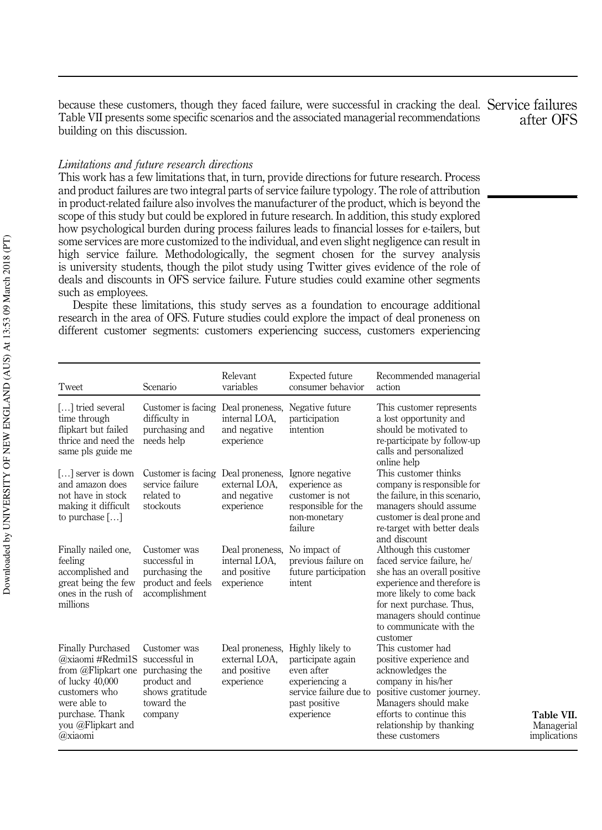because these customers, though they faced failure, were successful in cracking the deal. Service failures Table VII presents some specific scenarios and the associated managerial recommendations building on this discussion. after OFS

### *Limitations and future research directions*

This work has a few limitations that, in turn, provide directions for future research. Process and product failures are two integral parts of service failure typology. The role of attribution in product-related failure also involves the manufacturer of the product, which is beyond the scope of this study but could be explored in future research. In addition, this study explored how psychological burden during process failures leads to financial losses for e-tailers, but some services are more customized to the individual, and even slight negligence can result in high service failure. Methodologically, the segment chosen for the survey analysis is university students, though the pilot study using Twitter gives evidence of the role of deals and discounts in OFS service failure. Future studies could examine other segments such as employees.

Despite these limitations, this study serves as a foundation to encourage additional research in the area of OFS. Future studies could explore the impact of deal proneness on different customer segments: customers experiencing success, customers experiencing

| Tweet                                                                                                                                                                     | Scenario                                                                                                   | Relevant<br>variables                                          | <b>Expected future</b><br>consumer behavior                                                                                    | Recommended managerial<br>action                                                                                                                                                                                                              |
|---------------------------------------------------------------------------------------------------------------------------------------------------------------------------|------------------------------------------------------------------------------------------------------------|----------------------------------------------------------------|--------------------------------------------------------------------------------------------------------------------------------|-----------------------------------------------------------------------------------------------------------------------------------------------------------------------------------------------------------------------------------------------|
| [] tried several<br>time through<br>flipkart but failed<br>thrice and need the<br>same pls guide me                                                                       | Customer is facing Deal proneness,<br>difficulty in<br>purchasing and<br>needs help                        | internal LOA,<br>and negative<br>experience                    | Negative future<br>participation<br>intention                                                                                  | This customer represents<br>a lost opportunity and<br>should be motivated to<br>re-participate by follow-up<br>calls and personalized<br>online help                                                                                          |
| [] server is down<br>and amazon does<br>not have in stock<br>making it difficult<br>to purchase $[\dots]$                                                                 | Customer is facing<br>service failure<br>related to<br>stockouts                                           | Deal proneness,<br>external LOA,<br>and negative<br>experience | Ignore negative<br>experience as<br>customer is not<br>responsible for the<br>non-monetary<br>failure                          | This customer thinks<br>company is responsible for<br>the failure, in this scenario,<br>managers should assume<br>customer is deal prone and<br>re-target with better deals<br>and discount                                                   |
| Finally nailed one,<br>feeling<br>accomplished and<br>great being the few<br>ones in the rush of<br>millions                                                              | Customer was<br>successful in<br>purchasing the<br>product and feels<br>accomplishment                     | Deal proneness,<br>internal LOA,<br>and positive<br>experience | No impact of<br>previous failure on<br>future participation<br>intent                                                          | Although this customer<br>faced service failure, he/<br>she has an overall positive<br>experience and therefore is<br>more likely to come back<br>for next purchase. Thus,<br>managers should continue<br>to communicate with the<br>customer |
| <b>Finally Purchased</b><br>@xiaomi #Redmi1S<br>from @Flipkart one<br>of lucky 40,000<br>customers who<br>were able to<br>purchase. Thank<br>you @Flipkart and<br>@xiaomi | Customer was<br>successful in<br>purchasing the<br>product and<br>shows gratitude<br>toward the<br>company | Deal proneness,<br>external LOA,<br>and positive<br>experience | Highly likely to<br>participate again<br>even after<br>experiencing a<br>service failure due to<br>past positive<br>experience | This customer had<br>positive experience and<br>acknowledges the<br>company in his/her<br>positive customer journey.<br>Managers should make<br>efforts to continue this<br>relationship by thanking<br>these customers                       |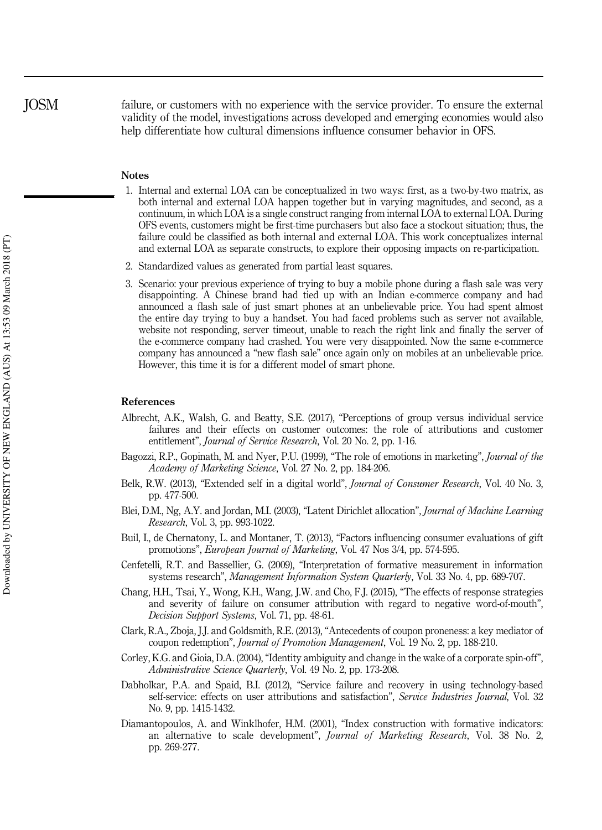failure, or customers with no experience with the service provider. To ensure the external validity of the model, investigations across developed and emerging economies would also help differentiate how cultural dimensions influence consumer behavior in OFS.

### Notes

- 1. Internal and external LOA can be conceptualized in two ways: first, as a two-by-two matrix, as both internal and external LOA happen together but in varying magnitudes, and second, as a continuum, in which LOA is a single construct ranging from internal LOA to external LOA. During OFS events, customers might be first-time purchasers but also face a stockout situation; thus, the failure could be classified as both internal and external LOA. This work conceptualizes internal and external LOA as separate constructs, to explore their opposing impacts on re-participation.
- 2. Standardized values as generated from partial least squares.
- 3. Scenario: your previous experience of trying to buy a mobile phone during a flash sale was very disappointing. A Chinese brand had tied up with an Indian e-commerce company and had announced a flash sale of just smart phones at an unbelievable price. You had spent almost the entire day trying to buy a handset. You had faced problems such as server not available, website not responding, server timeout, unable to reach the right link and finally the server of the e-commerce company had crashed. You were very disappointed. Now the same e-commerce company has announced a "new flash sale" once again only on mobiles at an unbelievable price. However, this time it is for a different model of smart phone.

### References

- Albrecht, A.K., Walsh, G. and Beatty, S.E. (2017), "Perceptions of group versus individual service failures and their effects on customer outcomes: the role of attributions and customer entitlement", *Journal of Service Research*, Vol. 20 No. 2, pp. 1-16.
- Bagozzi, R.P., Gopinath, M. and Nyer, P.U. (1999), "The role of emotions in marketing", *Journal of the Academy of Marketing Science*, Vol. 27 No. 2, pp. 184-206.
- Belk, R.W. (2013), "Extended self in a digital world", *Journal of Consumer Research*, Vol. 40 No. 3, pp. 477-500.
- Blei, D.M., Ng, A.Y. and Jordan, M.I. (2003), "Latent Dirichlet allocation", *Journal of Machine Learning Research*, Vol. 3, pp. 993-1022.
- Buil, I., de Chernatony, L. and Montaner, T. (2013), "Factors influencing consumer evaluations of gift promotions", *European Journal of Marketing*, Vol. 47 Nos 3/4, pp. 574-595.
- Cenfetelli, R.T. and Bassellier, G. (2009), "Interpretation of formative measurement in information systems research", *Management Information System Quarterly*, Vol. 33 No. 4, pp. 689-707.
- Chang, H.H., Tsai, Y., Wong, K.H., Wang, J.W. and Cho, F.J. (2015), "The effects of response strategies and severity of failure on consumer attribution with regard to negative word-of-mouth", *Decision Support Systems*, Vol. 71, pp. 48-61.
- Clark, R.A., Zboja, J.J. and Goldsmith, R.E. (2013), "Antecedents of coupon proneness: a key mediator of coupon redemption", *Journal of Promotion Management*, Vol. 19 No. 2, pp. 188-210.
- Corley, K.G. and Gioia, D.A. (2004), "Identity ambiguity and change in the wake of a corporate spin-off", *Administrative Science Quarterly*, Vol. 49 No. 2, pp. 173-208.
- Dabholkar, P.A. and Spaid, B.I. (2012), "Service failure and recovery in using technology-based self-service: effects on user attributions and satisfaction", *Service Industries Journal*, Vol. 32 No. 9, pp. 1415-1432.
- Diamantopoulos, A. and Winklhofer, H.M. (2001), "Index construction with formative indicators: an alternative to scale development", *Journal of Marketing Research*, Vol. 38 No. 2, pp. 269-277.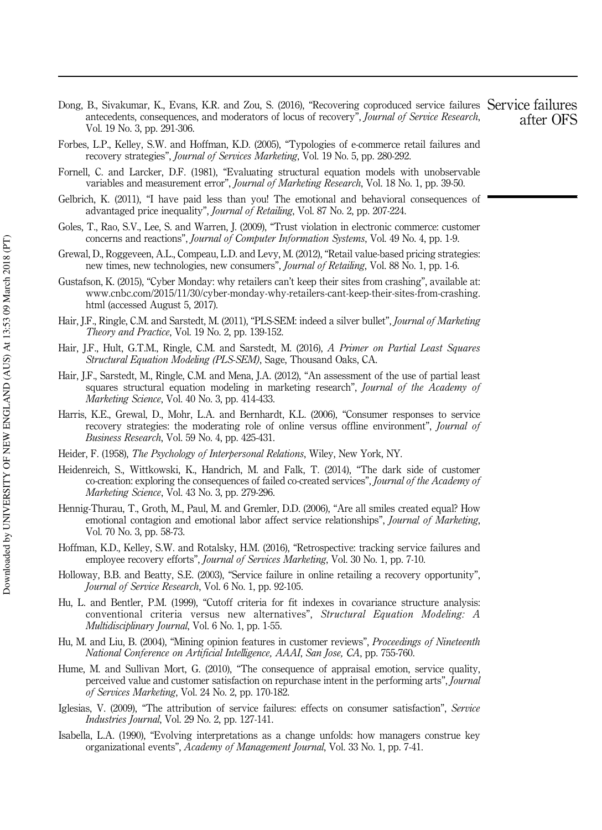- Dong, B., Sivakumar, K., Evans, K.R. and Zou, S. (2016), "Recovering coproduced service failures Service failures antecedents, consequences, and moderators of locus of recovery", *Journal of Service Research*, Vol. 19 No. 3, pp. 291-306. after OFS
- Forbes, L.P., Kelley, S.W. and Hoffman, K.D. (2005), "Typologies of e-commerce retail failures and recovery strategies", *Journal of Services Marketing*, Vol. 19 No. 5, pp. 280-292.
- Fornell, C. and Larcker, D.F. (1981), "Evaluating structural equation models with unobservable variables and measurement error", *Journal of Marketing Research*, Vol. 18 No. 1, pp. 39-50.
- Gelbrich, K. (2011), "I have paid less than you! The emotional and behavioral consequences of advantaged price inequality", *Journal of Retailing*, Vol. 87 No. 2, pp. 207-224.
- Goles, T., Rao, S.V., Lee, S. and Warren, J. (2009), "Trust violation in electronic commerce: customer concerns and reactions", *Journal of Computer Information Systems*, Vol. 49 No. 4, pp. 1-9.
- Grewal, D., Roggeveen, A.L., Compeau, L.D. and Levy, M. (2012), "Retail value-based pricing strategies: new times, new technologies, new consumers", *Journal of Retailing*, Vol. 88 No. 1, pp. 1-6.
- Gustafson, K. (2015), "Cyber Monday: why retailers can't keep their sites from crashing", available at: www.cnbc.com/2015/11/30/cyber-monday-why-retailers-cant-keep-their-sites-from-crashing. html (accessed August 5, 2017).
- Hair, J.F., Ringle, C.M. and Sarstedt, M. (2011), "PLS-SEM: indeed a silver bullet", *Journal of Marketing Theory and Practice*, Vol. 19 No. 2, pp. 139-152.
- Hair, J.F., Hult, G.T.M., Ringle, C.M. and Sarstedt, M. (2016), *A Primer on Partial Least Squares Structural Equation Modeling (PLS-SEM)*, Sage, Thousand Oaks, CA.
- Hair, J.F., Sarstedt, M., Ringle, C.M. and Mena, J.A. (2012), "An assessment of the use of partial least squares structural equation modeling in marketing research", *Journal of the Academy of Marketing Science*, Vol. 40 No. 3, pp. 414-433.
- Harris, K.E., Grewal, D., Mohr, L.A. and Bernhardt, K.L. (2006), "Consumer responses to service recovery strategies: the moderating role of online versus offline environment", *Journal of Business Research*, Vol. 59 No. 4, pp. 425-431.
- Heider, F. (1958), *The Psychology of Interpersonal Relations*, Wiley, New York, NY.
- Heidenreich, S., Wittkowski, K., Handrich, M. and Falk, T. (2014), "The dark side of customer co-creation: exploring the consequences of failed co-created services", *Journal of the Academy of Marketing Science*, Vol. 43 No. 3, pp. 279-296.
- Hennig-Thurau, T., Groth, M., Paul, M. and Gremler, D.D. (2006), "Are all smiles created equal? How emotional contagion and emotional labor affect service relationships", *Journal of Marketing*, Vol. 70 No. 3, pp. 58-73.
- Hoffman, K.D., Kelley, S.W. and Rotalsky, H.M. (2016), "Retrospective: tracking service failures and employee recovery efforts", *Journal of Services Marketing*, Vol. 30 No. 1, pp. 7-10.
- Holloway, B.B. and Beatty, S.E. (2003), "Service failure in online retailing a recovery opportunity", *Journal of Service Research*, Vol. 6 No. 1, pp. 92-105.
- Hu, L. and Bentler, P.M. (1999), "Cutoff criteria for fit indexes in covariance structure analysis: conventional criteria versus new alternatives", *Structural Equation Modeling: A Multidisciplinary Journal*, Vol. 6 No. 1, pp. 1-55.
- Hu, M. and Liu, B. (2004), "Mining opinion features in customer reviews", *Proceedings of Nineteenth National Conference on Artificial Intelligence, AAAI*, *San Jose, CA*, pp. 755-760.
- Hume, M. and Sullivan Mort, G. (2010), "The consequence of appraisal emotion, service quality, perceived value and customer satisfaction on repurchase intent in the performing arts", *Journal of Services Marketing*, Vol. 24 No. 2, pp. 170-182.
- Iglesias, V. (2009), "The attribution of service failures: effects on consumer satisfaction", *Service Industries Journal*, Vol. 29 No. 2, pp. 127-141.
- Isabella, L.A. (1990), "Evolving interpretations as a change unfolds: how managers construe key organizational events", *Academy of Management Journal*, Vol. 33 No. 1, pp. 7-41.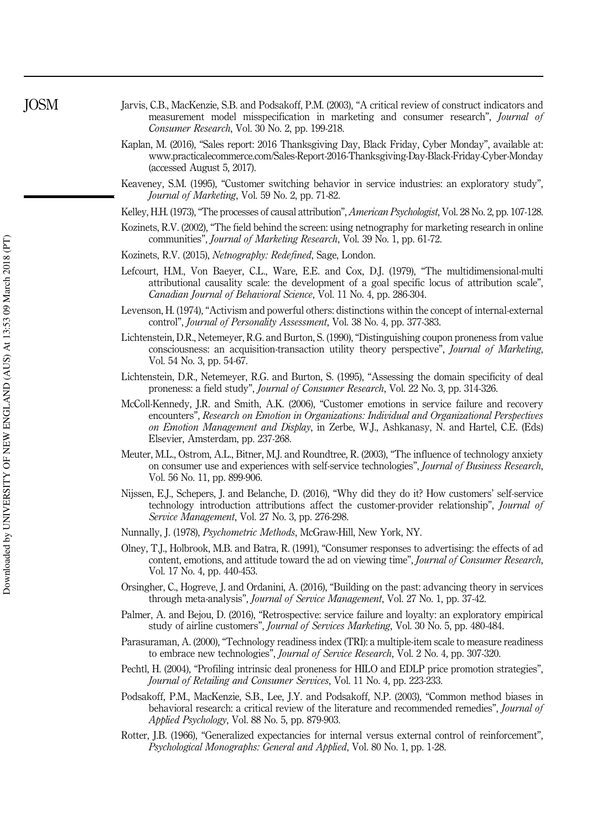- Jarvis, C.B., MacKenzie, S.B. and Podsakoff, P.M. (2003), "A critical review of construct indicators and measurement model misspecification in marketing and consumer research", *Journal of Consumer Research*, Vol. 30 No. 2, pp. 199-218.
- Kaplan, M. (2016), "Sales report: 2016 Thanksgiving Day, Black Friday, Cyber Monday", available at: www.practicalecommerce.com/Sales-Report-2016-Thanksgiving-Day-Black-Friday-Cyber-Monday (accessed August 5, 2017).
- Keaveney, S.M. (1995), "Customer switching behavior in service industries: an exploratory study", *Journal of Marketing*, Vol. 59 No. 2, pp. 71-82.
- Kelley, H.H. (1973), "The processes of causal attribution", *American Psychologist*, Vol. 28 No. 2, pp. 107-128.
- Kozinets, R.V. (2002), "The field behind the screen: using netnography for marketing research in online communities", *Journal of Marketing Research*, Vol. 39 No. 1, pp. 61-72.
- Kozinets, R.V. (2015), *Netnography: Redefined*, Sage, London.
- Lefcourt, H.M., Von Baeyer, C.L., Ware, E.E. and Cox, D.J. (1979), "The multidimensional-multi attributional causality scale: the development of a goal specific locus of attribution scale", *Canadian Journal of Behavioral Science*, Vol. 11 No. 4, pp. 286-304.
- Levenson, H. (1974), "Activism and powerful others: distinctions within the concept of internal-external control", *Journal of Personality Assessment*, Vol. 38 No. 4, pp. 377-383.
- Lichtenstein, D.R., Netemeyer, R.G. and Burton, S. (1990), "Distinguishing coupon proneness from value consciousness: an acquisition-transaction utility theory perspective", *Journal of Marketing*, Vol. 54 No. 3, pp. 54-67.
- Lichtenstein, D.R., Netemeyer, R.G. and Burton, S. (1995), "Assessing the domain specificity of deal proneness: a field study", *Journal of Consumer Research*, Vol. 22 No. 3, pp. 314-326.
- McColl-Kennedy, J.R. and Smith, A.K. (2006), "Customer emotions in service failure and recovery encounters", *Research on Emotion in Organizations: Individual and Organizational Perspectives on Emotion Management and Display*, in Zerbe, W.J., Ashkanasy, N. and Hartel, C.E. (Eds) Elsevier, Amsterdam, pp. 237-268.
- Meuter, M.L., Ostrom, A.L., Bitner, M.J. and Roundtree, R. (2003), "The influence of technology anxiety on consumer use and experiences with self-service technologies", *Journal of Business Research*, Vol. 56 No. 11, pp. 899-906.
- Nijssen, E.J., Schepers, J. and Belanche, D. (2016), "Why did they do it? How customers' self-service technology introduction attributions affect the customer-provider relationship", *Journal of Service Management*, Vol. 27 No. 3, pp. 276-298.
- Nunnally, J. (1978), *Psychometric Methods*, McGraw-Hill, New York, NY.
- Olney, T.J., Holbrook, M.B. and Batra, R. (1991), "Consumer responses to advertising: the effects of ad content, emotions, and attitude toward the ad on viewing time", *Journal of Consumer Research*, Vol. 17 No. 4, pp. 440-453.
- Orsingher, C., Hogreve, J. and Ordanini, A. (2016), "Building on the past: advancing theory in services through meta-analysis", *Journal of Service Management*, Vol. 27 No. 1, pp. 37-42.
- Palmer, A. and Bejou, D. (2016), "Retrospective: service failure and loyalty: an exploratory empirical study of airline customers", *Journal of Services Marketing*, Vol. 30 No. 5, pp. 480-484.
- Parasuraman, A. (2000), "Technology readiness index (TRI): a multiple-item scale to measure readiness to embrace new technologies", *Journal of Service Research*, Vol. 2 No. 4, pp. 307-320.
- Pechtl, H. (2004), "Profiling intrinsic deal proneness for HILO and EDLP price promotion strategies", *Journal of Retailing and Consumer Services*, Vol. 11 No. 4, pp. 223-233.
- Podsakoff, P.M., MacKenzie, S.B., Lee, J.Y. and Podsakoff, N.P. (2003), "Common method biases in behavioral research: a critical review of the literature and recommended remedies", *Journal of Applied Psychology*, Vol. 88 No. 5, pp. 879-903.
- Rotter, J.B. (1966), "Generalized expectancies for internal versus external control of reinforcement", *Psychological Monographs: General and Applied*, Vol. 80 No. 1, pp. 1-28.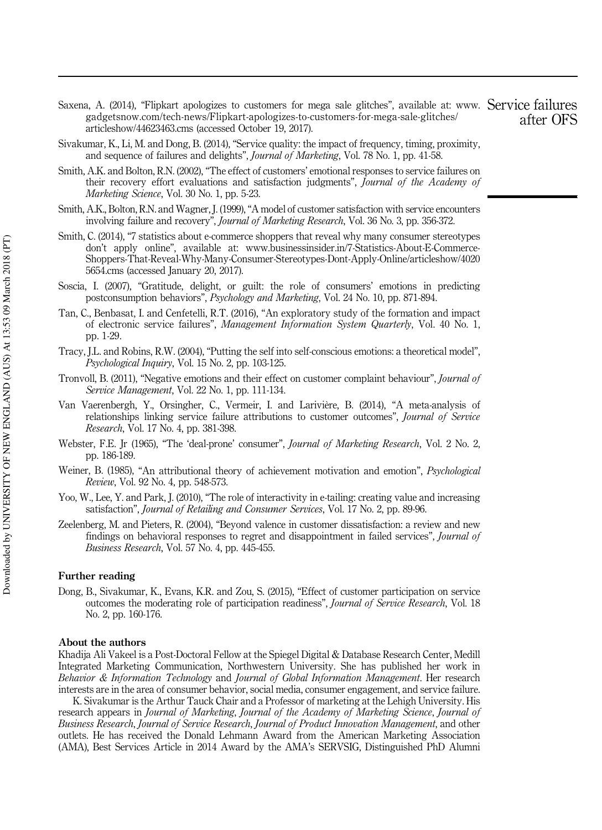- Saxena, A. (2014), "Flipkart apologizes to customers for mega sale glitches", available at: www. Service failures gadgetsnow.com/tech-news/Flipkart-apologizes-to-customers-for-mega-sale-glitches/ articleshow/44623463.cms (accessed October 19, 2017). after OFS
- Sivakumar, K., Li, M. and Dong, B. (2014), "Service quality: the impact of frequency, timing, proximity, and sequence of failures and delights", *Journal of Marketing*, Vol. 78 No. 1, pp. 41-58.
- Smith, A.K. and Bolton, R.N. (2002), "The effect of customers' emotional responses to service failures on their recovery effort evaluations and satisfaction judgments", *Journal of the Academy of Marketing Science*, Vol. 30 No. 1, pp. 5-23.
- Smith, A.K., Bolton, R.N. and Wagner, J. (1999), "A model of customer satisfaction with service encounters involving failure and recovery", *Journal of Marketing Research*, Vol. 36 No. 3, pp. 356-372.
- Smith, C. (2014), "7 statistics about e-commerce shoppers that reveal why many consumer stereotypes don't apply online", available at: www.businessinsider.in/7-Statistics-About-E-Commerce-Shoppers-That-Reveal-Why-Many-Consumer-Stereotypes-Dont-Apply-Online/articleshow/4020 5654.cms (accessed January 20, 2017).
- Soscia, I. (2007), "Gratitude, delight, or guilt: the role of consumers' emotions in predicting postconsumption behaviors", *Psychology and Marketing*, Vol. 24 No. 10, pp. 871-894.
- Tan, C., Benbasat, I. and Cenfetelli, R.T. (2016), "An exploratory study of the formation and impact of electronic service failures", *Management Information System Quarterly*, Vol. 40 No. 1, pp. 1-29.
- Tracy, J.L. and Robins, R.W. (2004), "Putting the self into self-conscious emotions: a theoretical model", *Psychological Inquiry*, Vol. 15 No. 2, pp. 103-125.
- Tronvoll, B. (2011), "Negative emotions and their effect on customer complaint behaviour", *Journal of Service Management*, Vol. 22 No. 1, pp. 111-134.
- Van Vaerenbergh, Y., Orsingher, C., Vermeir, I. and Larivière, B. (2014), "A meta-analysis of relationships linking service failure attributions to customer outcomes", *Journal of Service Research*, Vol. 17 No. 4, pp. 381-398.
- Webster, F.E. Jr (1965), "The 'deal-prone' consumer", *Journal of Marketing Research*, Vol. 2 No. 2, pp. 186-189.
- Weiner, B. (1985), "An attributional theory of achievement motivation and emotion", *Psychological Review*, Vol. 92 No. 4, pp. 548-573.
- Yoo, W., Lee, Y. and Park, J. (2010), "The role of interactivity in e-tailing: creating value and increasing satisfaction", *Journal of Retailing and Consumer Services*, Vol. 17 No. 2, pp. 89-96.
- Zeelenberg, M. and Pieters, R. (2004), "Beyond valence in customer dissatisfaction: a review and new findings on behavioral responses to regret and disappointment in failed services", *Journal of Business Research*, Vol. 57 No. 4, pp. 445-455.

### Further reading

Dong, B., Sivakumar, K., Evans, K.R. and Zou, S. (2015), "Effect of customer participation on service outcomes the moderating role of participation readiness", *Journal of Service Research*, Vol. 18 No. 2, pp. 160-176.

#### About the authors

Khadija Ali Vakeel is a Post-Doctoral Fellow at the Spiegel Digital & Database Research Center, Medill Integrated Marketing Communication, Northwestern University. She has published her work in *Behavior & Information Technology* and *Journal of Global Information Management*. Her research interests are in the area of consumer behavior, social media, consumer engagement, and service failure.

K. Sivakumar is the Arthur Tauck Chair and a Professor of marketing at the Lehigh University. His research appears in *Journal of Marketing*, *Journal of the Academy of Marketing Science*, *Journal of Business Research*, *Journal of Service Research*, *Journal of Product Innovation Management*, and other outlets. He has received the Donald Lehmann Award from the American Marketing Association (AMA), Best Services Article in 2014 Award by the AMA's SERVSIG, Distinguished PhD Alumni